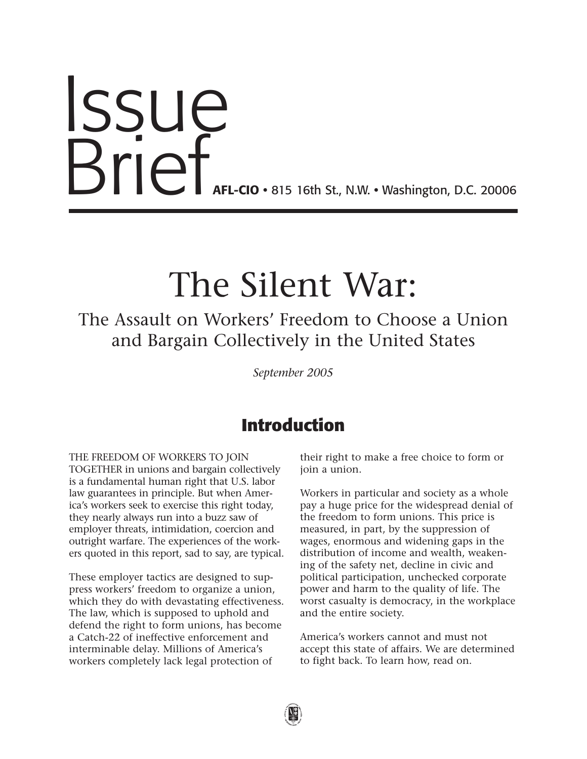# Issue **Brief AFL-CIO •** 815 16th St., N.W. • Washington, D.C. 20006

# **The Silent War:**

**The Assault on Workers' Freedom to Choose a Union and Bargain Collectively in the United States**

*September 2005*

# **Introduction**

**THE FREEDOM OF WORKERS TO JOIN TOGETHER in unions and bargain collectively is a fundamental human right that U.S. labor law guarantees in principle. But when America's workers seek to exercise this right today, they nearly always run into a buzz saw of employer threats, intimidation, coercion and outright warfare. The experiences of the workers quoted in this report, sad to say, are typical.** 

**These employer tactics are designed to suppress workers' freedom to organize a union, which they do with devastating effectiveness. The law, which is supposed to uphold and defend the right to form unions, has become a Catch-22 of ineffective enforcement and interminable delay. Millions of America's workers completely lack legal protection of**

**their right to make a free choice to form or join a union.**

**Workers in particular and society as a whole pay a huge price for the widespread denial of the freedom to form unions. This price is measured, in part, by the suppression of wages, enormous and widening gaps in the distribution of income and wealth, weakening of the safety net, decline in civic and political participation, unchecked corporate power and harm to the quality of life. The worst casualty is democracy, in the workplace and the entire society.**

**America's workers cannot and must not accept this state of affairs. We are determined to fight back. To learn how, read on.**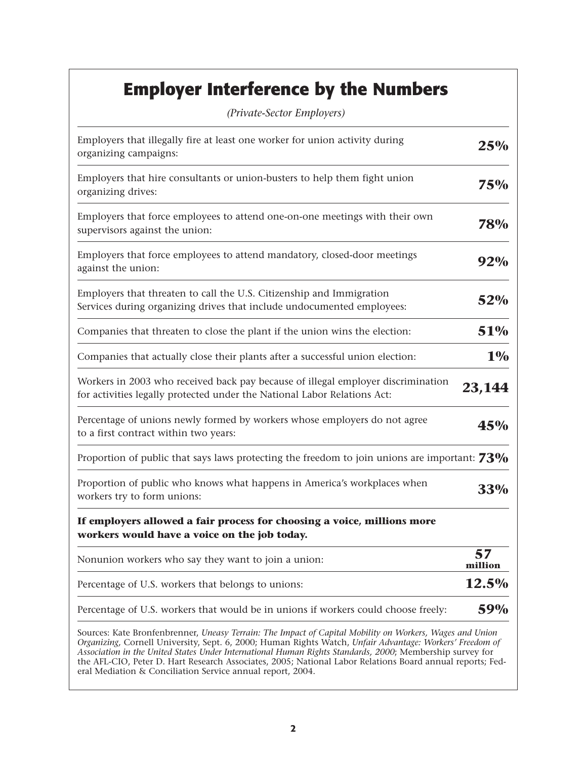# **Employer Interference by the Numbers**

| (Private-Sector Employers)                                                                                                                                                                                                                                                                                                                                                                                                                                                                                  |               |
|-------------------------------------------------------------------------------------------------------------------------------------------------------------------------------------------------------------------------------------------------------------------------------------------------------------------------------------------------------------------------------------------------------------------------------------------------------------------------------------------------------------|---------------|
| Employers that illegally fire at least one worker for union activity during<br>organizing campaigns:                                                                                                                                                                                                                                                                                                                                                                                                        | 25%           |
| Employers that hire consultants or union-busters to help them fight union<br>organizing drives:                                                                                                                                                                                                                                                                                                                                                                                                             | 75%           |
| Employers that force employees to attend one-on-one meetings with their own<br>supervisors against the union:                                                                                                                                                                                                                                                                                                                                                                                               | 78%           |
| Employers that force employees to attend mandatory, closed-door meetings<br>against the union:                                                                                                                                                                                                                                                                                                                                                                                                              | 92%           |
| Employers that threaten to call the U.S. Citizenship and Immigration<br>Services during organizing drives that include undocumented employees:                                                                                                                                                                                                                                                                                                                                                              | 52%           |
| Companies that threaten to close the plant if the union wins the election:                                                                                                                                                                                                                                                                                                                                                                                                                                  | 51%           |
| Companies that actually close their plants after a successful union election:                                                                                                                                                                                                                                                                                                                                                                                                                               | $1\%$         |
| Workers in 2003 who received back pay because of illegal employer discrimination<br>for activities legally protected under the National Labor Relations Act:                                                                                                                                                                                                                                                                                                                                                | 23,144        |
| Percentage of unions newly formed by workers whose employers do not agree<br>to a first contract within two years:                                                                                                                                                                                                                                                                                                                                                                                          | 45%           |
| Proportion of public that says laws protecting the freedom to join unions are important: $73\%$                                                                                                                                                                                                                                                                                                                                                                                                             |               |
| Proportion of public who knows what happens in America's workplaces when<br>workers try to form unions:                                                                                                                                                                                                                                                                                                                                                                                                     | 33%           |
| If employers allowed a fair process for choosing a voice, millions more<br>workers would have a voice on the job today.                                                                                                                                                                                                                                                                                                                                                                                     |               |
| Nonunion workers who say they want to join a union:                                                                                                                                                                                                                                                                                                                                                                                                                                                         | 57<br>million |
| Percentage of U.S. workers that belongs to unions:                                                                                                                                                                                                                                                                                                                                                                                                                                                          | 12.5%         |
| Percentage of U.S. workers that would be in unions if workers could choose freely:                                                                                                                                                                                                                                                                                                                                                                                                                          | 59%           |
| Sources: Kate Bronfenbrenner, Uneasy Terrain: The Impact of Capital Mobility on Workers, Wages and Union<br>Organizing, Cornell University, Sept. 6, 2000; Human Rights Watch, Unfair Advantage: Workers' Freedom of<br>Association in the United States Under International Human Rights Standards, 2000; Membership survey for<br>the AFL-CIO, Peter D. Hart Research Associates, 2005; National Labor Relations Board annual reports; Fed-<br>eral Mediation & Conciliation Service annual report, 2004. |               |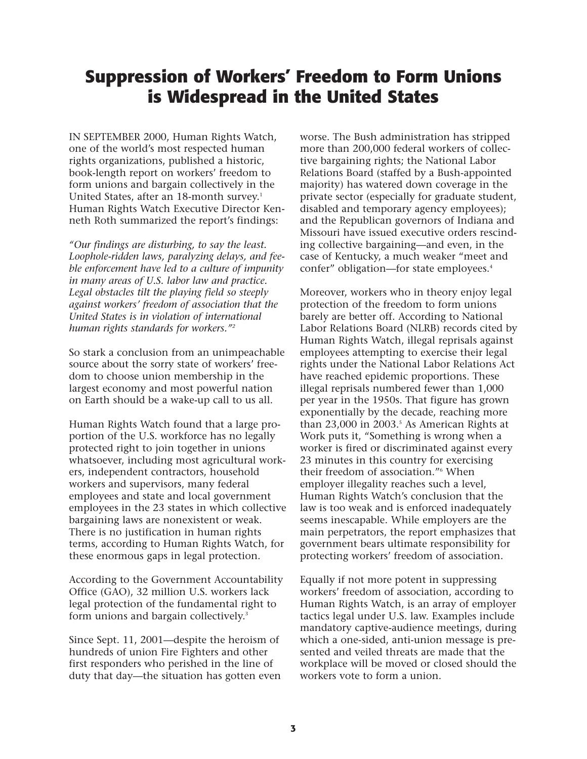# **Suppression of Workers' Freedom to Form Unions is Widespread in the United States**

**IN SEPTEMBER 2000, Human Rights Watch, one of the world's most respected human rights organizations, published a historic, book-length report on workers' freedom to form unions and bargain collectively in the United States, after an 18-month survey.1 Human Rights Watch Executive Director Kenneth Roth summarized the report's findings:**

*"Our findings are disturbing, to say the least. Loophole-ridden laws, paralyzing delays, and feeble enforcement have led to a culture of impunity in many areas of U.S. labor law and practice. Legal obstacles tilt the playing field so steeply against workers' freedom of association that the United States is in violation of international human rights standards for workers."2*

**So stark a conclusion from an unimpeachable source about the sorry state of workers' freedom to choose union membership in the largest economy and most powerful nation on Earth should be a wake-up call to us all.** 

**Human Rights Watch found that a large proportion of the U.S. workforce has no legally protected right to join together in unions whatsoever, including most agricultural workers, independent contractors, household workers and supervisors, many federal employees and state and local government employees in the 23 states in which collective bargaining laws are nonexistent or weak. There is no justification in human rights terms, according to Human Rights Watch, for these enormous gaps in legal protection.**

**According to the Government Accountability Office (GAO), 32 million U.S. workers lack legal protection of the fundamental right to form unions and bargain collectively.3**

**Since Sept. 11, 2001—despite the heroism of hundreds of union Fire Fighters and other first responders who perished in the line of duty that day—the situation has gotten even** **worse. The Bush administration has stripped more than 200,000 federal workers of collective bargaining rights; the National Labor Relations Board (staffed by a Bush-appointed majority) has watered down coverage in the private sector (especially for graduate student, disabled and temporary agency employees); and the Republican governors of Indiana and Missouri have issued executive orders rescinding collective bargaining—and even, in the case of Kentucky, a much weaker "meet and confer" obligation—for state employees.4**

**Moreover, workers who in theory enjoy legal protection of the freedom to form unions barely are better off. According to National Labor Relations Board (NLRB) records cited by Human Rights Watch, illegal reprisals against employees attempting to exercise their legal rights under the National Labor Relations Act have reached epidemic proportions. These illegal reprisals numbered fewer than 1,000 per year in the 1950s. That figure has grown exponentially by the decade, reaching more than 23,000 in 2003.5 As American Rights at Work puts it, "Something is wrong when a worker is fired or discriminated against every 23 minutes in this country for exercising their freedom of association."6 When employer illegality reaches such a level, Human Rights Watch's conclusion that the law is too weak and is enforced inadequately seems inescapable. While employers are the main perpetrators, the report emphasizes that government bears ultimate responsibility for protecting workers' freedom of association.**

**Equally if not more potent in suppressing workers' freedom of association, according to Human Rights Watch, is an array of employer tactics legal under U.S. law. Examples include mandatory captive-audience meetings, during which a one-sided, anti-union message is presented and veiled threats are made that the workplace will be moved or closed should the workers vote to form a union.**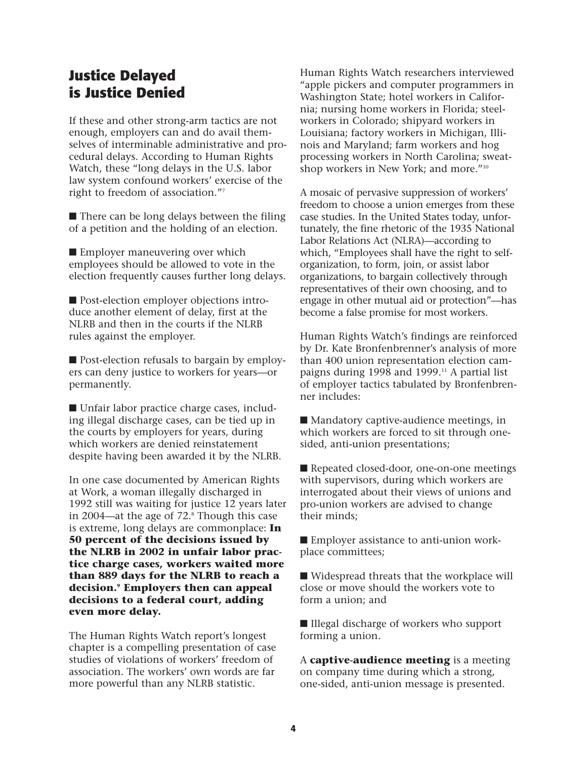#### **Justice Delayed is Justice Denied**

**If these and other strong-arm tactics are not enough, employers can and do avail themselves of interminable administrative and procedural delays. According to Human Rights Watch, these "long delays in the U.S. labor law system confound workers' exercise of the right to freedom of association."7**

■ **There can be long delays between the filing of a petition and the holding of an election.**

■ **Employer maneuvering over which employees should be allowed to vote in the election frequently causes further long delays.**

■ Post-election employer objections intro**duce another element of delay, first at the NLRB and then in the courts if the NLRB rules against the employer.**

■ Post-election refusals to bargain by employ**ers can deny justice to workers for years—or permanently.**

■ Unfair labor practice charge cases, includ**ing illegal discharge cases, can be tied up in the courts by employers for years, during which workers are denied reinstatement despite having been awarded it by the NLRB.** 

**In one case documented by American Rights at Work, a woman illegally discharged in 1992 still was waiting for justice 12 years later in 2004—at the age of 72.8 Though this case is extreme, long delays are commonplace: In 50 percent of the decisions issued by the NLRB in 2002 in unfair labor practice charge cases, workers waited more than 889 days for the NLRB to reach a decision.9 Employers then can appeal decisions to a federal court, adding even more delay.**

**The Human Rights Watch report's longest chapter is a compelling presentation of case studies of violations of workers' freedom of association. The workers' own words are far more powerful than any NLRB statistic.**

**Human Rights Watch researchers interviewed "apple pickers and computer programmers in Washington State; hotel workers in California; nursing home workers in Florida; steelworkers in Colorado; shipyard workers in Louisiana; factory workers in Michigan, Illinois and Maryland; farm workers and hog processing workers in North Carolina; sweatshop workers in New York; and more."10**

**A mosaic of pervasive suppression of workers' freedom to choose a union emerges from these case studies. In the United States today, unfortunately, the fine rhetoric of the 1935 National Labor Relations Act (NLRA)—according to which, "Employees shall have the right to selforganization, to form, join, or assist labor organizations, to bargain collectively through representatives of their own choosing, and to engage in other mutual aid or protection"—has become a false promise for most workers.**

**Human Rights Watch's findings are reinforced by Dr. Kate Bronfenbrenner's analysis of more than 400 union representation election campaigns during 1998 and 1999.11 A partial list of employer tactics tabulated by Bronfenbrenner includes:**

■ Mandatory captive-audience meetings, in **which workers are forced to sit through onesided, anti-union presentations;**

■ **Repeated closed-door, one-on-one meetings with supervisors, during which workers are interrogated about their views of unions and pro-union workers are advised to change their minds;** 

■ **Employer assistance to anti-union workplace committees;**

■ Widespread threats that the workplace will **close or move should the workers vote to form a union; and**

■ **Illegal discharge of workers who support forming a union.**

**A captive-audience meeting is a meeting on company time during which a strong, one-sided, anti-union message is presented.**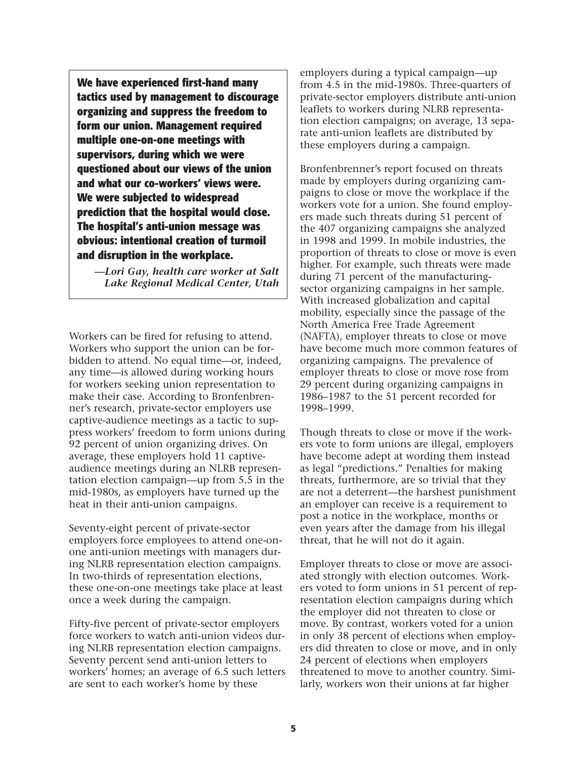**We have experienced first-hand many tactics used by management to discourage organizing and suppress the freedom to form our union. Management required multiple one-on-one meetings with supervisors, during which we were questioned about our views of the union and what our co-workers' views were. We were subjected to widespread prediction that the hospital would close. The hospital's anti-union message was obvious: intentional creation of turmoil and disruption in the workplace.**

*—Lori Gay, health care worker at Salt Lake Regional Medical Center, Utah*

**Workers can be fired for refusing to attend. Workers who support the union can be forbidden to attend. No equal time—or, indeed, any time—is allowed during working hours for workers seeking union representation to make their case. According to Bronfenbrenner's research, private-sector employers use captive-audience meetings as a tactic to suppress workers' freedom to form unions during 92 percent of union organizing drives. On average, these employers hold 11 captiveaudience meetings during an NLRB representation election campaign—up from 5.5 in the mid-1980s, as employers have turned up the heat in their anti-union campaigns.**

**Seventy-eight percent of private-sector employers force employees to attend one-onone anti-union meetings with managers during NLRB representation election campaigns. In two-thirds of representation elections, these one-on-one meetings take place at least once a week during the campaign.** 

**Fifty-five percent of private-sector employers force workers to watch anti-union videos during NLRB representation election campaigns. Seventy percent send anti-union letters to workers' homes; an average of 6.5 such letters are sent to each worker's home by these**

**employers during a typical campaign—up from 4.5 in the mid-1980s. Three-quarters of private-sector employers distribute anti-union leaflets to workers during NLRB representation election campaigns; on average, 13 separate anti-union leaflets are distributed by these employers during a campaign.**

**Bronfenbrenner's report focused on threats made by employers during organizing campaigns to close or move the workplace if the workers vote for a union. She found employers made such threats during 51 percent of the 407 organizing campaigns she analyzed in 1998 and 1999. In mobile industries, the proportion of threats to close or move is even higher. For example, such threats were made during 71 percent of the manufacturingsector organizing campaigns in her sample. With increased globalization and capital mobility, especially since the passage of the North America Free Trade Agreement (NAFTA), employer threats to close or move have become much more common features of organizing campaigns. The prevalence of employer threats to close or move rose from 29 percent during organizing campaigns in 1986–1987 to the 51 percent recorded for 1998–1999.**

**Though threats to close or move if the workers vote to form unions are illegal, employers have become adept at wording them instead as legal "predictions." Penalties for making threats, furthermore, are so trivial that they are not a deterrent—the harshest punishment an employer can receive is a requirement to post a notice in the workplace, months or even years after the damage from his illegal threat, that he will not do it again.**

**Employer threats to close or move are associated strongly with election outcomes. Workers voted to form unions in 51 percent of representation election campaigns during which the employer did not threaten to close or move. By contrast, workers voted for a union in only 38 percent of elections when employers did threaten to close or move, and in only 24 percent of elections when employers threatened to move to another country. Similarly, workers won their unions at far higher**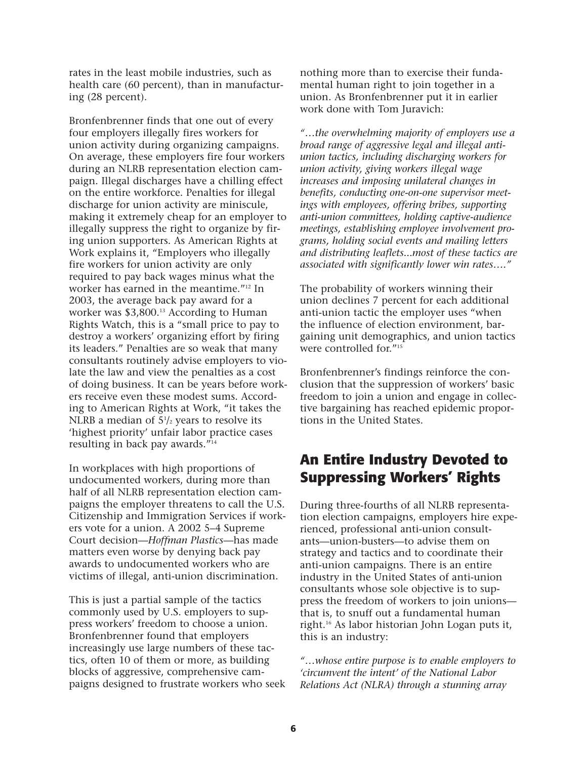**rates in the least mobile industries, such as health care (60 percent), than in manufacturing (28 percent).** 

**Bronfenbrenner finds that one out of every four employers illegally fires workers for union activity during organizing campaigns. On average, these employers fire four workers during an NLRB representation election campaign. Illegal discharges have a chilling effect on the entire workforce. Penalties for illegal discharge for union activity are miniscule, making it extremely cheap for an employer to illegally suppress the right to organize by firing union supporters. As American Rights at Work explains it, "Employers who illegally fire workers for union activity are only required to pay back wages minus what the worker has earned in the meantime."12 In 2003, the average back pay award for a worker was \$3,800.13 According to Human Rights Watch, this is a "small price to pay to destroy a workers' organizing effort by firing its leaders." Penalties are so weak that many consultants routinely advise employers to violate the law and view the penalties as a cost of doing business. It can be years before workers receive even these modest sums. According to American Rights at Work, "it takes the NLRB a median of 51 /2 years to resolve its 'highest priority' unfair labor practice cases resulting in back pay awards."14**

**In workplaces with high proportions of undocumented workers, during more than half of all NLRB representation election campaigns the employer threatens to call the U.S. Citizenship and Immigration Services if workers vote for a union. A 2002 5–4 Supreme Court decision—***Hoffman Plastics***—has made matters even worse by denying back pay awards to undocumented workers who are victims of illegal, anti-union discrimination.**

**This is just a partial sample of the tactics commonly used by U.S. employers to suppress workers' freedom to choose a union. Bronfenbrenner found that employers increasingly use large numbers of these tactics, often 10 of them or more, as building blocks of aggressive, comprehensive campaigns designed to frustrate workers who seek** **nothing more than to exercise their fundamental human right to join together in a union. As Bronfenbrenner put it in earlier work done with Tom Juravich:**

*"…the overwhelming majority of employers use a broad range of aggressive legal and illegal antiunion tactics, including discharging workers for union activity, giving workers illegal wage increases and imposing unilateral changes in benefits, conducting one-on-one supervisor meetings with employees, offering bribes, supporting anti-union committees, holding captive-audience meetings, establishing employee involvement programs, holding social events and mailing letters and distributing leaflets...most of these tactics are associated with significantly lower win rates…."*

**The probability of workers winning their union declines 7 percent for each additional anti-union tactic the employer uses "when the influence of election environment, bargaining unit demographics, and union tactics were controlled for."15**

**Bronfenbrenner's findings reinforce the conclusion that the suppression of workers' basic freedom to join a union and engage in collective bargaining has reached epidemic proportions in the United States.**

### **An Entire Industry Devoted to Suppressing Workers' Rights**

**During three-fourths of all NLRB representation election campaigns, employers hire experienced, professional anti-union consultants—union-busters—to advise them on strategy and tactics and to coordinate their anti-union campaigns. There is an entire industry in the United States of anti-union consultants whose sole objective is to suppress the freedom of workers to join unions that is, to snuff out a fundamental human right.16 As labor historian John Logan puts it, this is an industry:**

*"…whose entire purpose is to enable employers to 'circumvent the intent' of the National Labor Relations Act (NLRA) through a stunning array*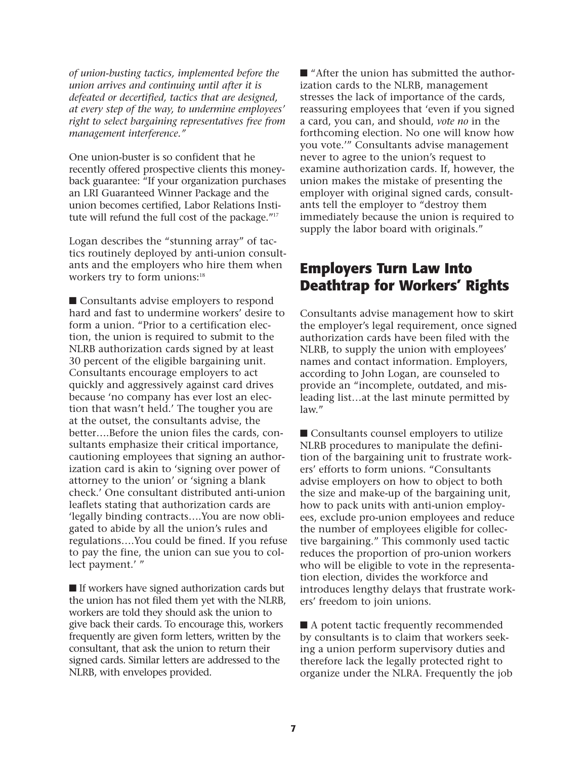*of union-busting tactics, implemented before the union arrives and continuing until after it is defeated or decertified, tactics that are designed, at every step of the way, to undermine employees' right to select bargaining representatives free from management interference."*

**One union-buster is so confident that he recently offered prospective clients this moneyback guarantee: "If your organization purchases an LRI Guaranteed Winner Package and the union becomes certified, Labor Relations Institute will refund the full cost of the package."17**

**Logan describes the "stunning array" of tactics routinely deployed by anti-union consultants and the employers who hire them when workers try to form unions:18**

■ **Consultants advise employers to respond hard and fast to undermine workers' desire to form a union. "Prior to a certification election, the union is required to submit to the NLRB authorization cards signed by at least 30 percent of the eligible bargaining unit. Consultants encourage employers to act quickly and aggressively against card drives because 'no company has ever lost an election that wasn't held.' The tougher you are at the outset, the consultants advise, the better….Before the union files the cards, consultants emphasize their critical importance, cautioning employees that signing an authorization card is akin to 'signing over power of attorney to the union' or 'signing a blank check.' One consultant distributed anti-union leaflets stating that authorization cards are 'legally binding contracts….You are now obligated to abide by all the union's rules and regulations….You could be fined. If you refuse to pay the fine, the union can sue you to collect payment.' "** 

■ **If workers have signed authorization cards but the union has not filed them yet with the NLRB, workers are told they should ask the union to give back their cards. To encourage this, workers frequently are given form letters, written by the consultant, that ask the union to return their signed cards. Similar letters are addressed to the NLRB, with envelopes provided.**

■ "After the union has submitted the author**ization cards to the NLRB, management stresses the lack of importance of the cards, reassuring employees that 'even if you signed a card, you can, and should,** *vote no* **in the forthcoming election. No one will know how you vote.'" Consultants advise management never to agree to the union's request to examine authorization cards. If, however, the union makes the mistake of presenting the employer with original signed cards, consultants tell the employer to "destroy them immediately because the union is required to supply the labor board with originals."**

#### **Employers Turn Law Into Deathtrap for Workers' Rights**

**Consultants advise management how to skirt the employer's legal requirement, once signed authorization cards have been filed with the NLRB, to supply the union with employees' names and contact information. Employers, according to John Logan, are counseled to provide an "incomplete, outdated, and misleading list…at the last minute permitted by law."**

■ **Consultants counsel employers to utilize NLRB procedures to manipulate the definition of the bargaining unit to frustrate workers' efforts to form unions. "Consultants advise employers on how to object to both the size and make-up of the bargaining unit, how to pack units with anti-union employees, exclude pro-union employees and reduce the number of employees eligible for collective bargaining." This commonly used tactic reduces the proportion of pro-union workers who will be eligible to vote in the representation election, divides the workforce and introduces lengthy delays that frustrate workers' freedom to join unions.** 

■ A potent tactic frequently recommended **by consultants is to claim that workers seeking a union perform supervisory duties and therefore lack the legally protected right to organize under the NLRA. Frequently the job**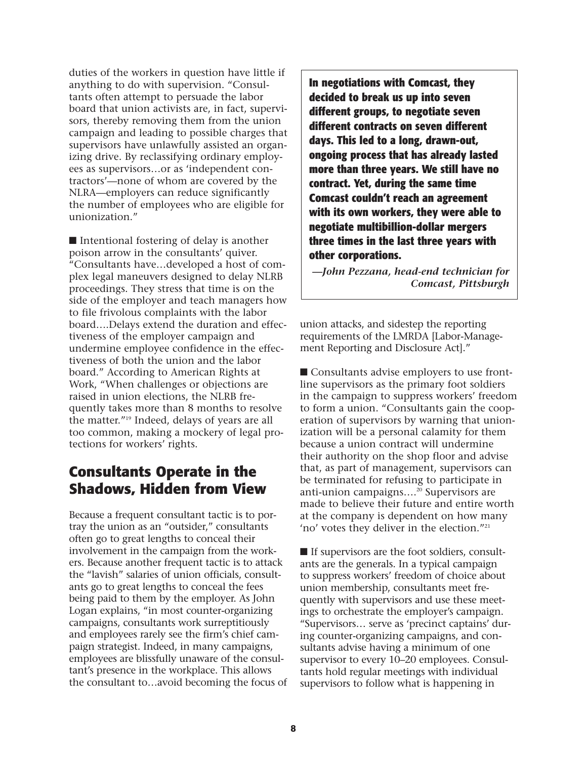**duties of the workers in question have little if anything to do with supervision. "Consultants often attempt to persuade the labor board that union activists are, in fact, supervisors, thereby removing them from the union campaign and leading to possible charges that supervisors have unlawfully assisted an organizing drive. By reclassifying ordinary employees as supervisors…or as 'independent contractors'—none of whom are covered by the NLRA—employers can reduce significantly the number of employees who are eligible for unionization."**

■ **Intentional fostering of delay is another poison arrow in the consultants' quiver. "Consultants have…developed a host of complex legal maneuvers designed to delay NLRB proceedings. They stress that time is on the side of the employer and teach managers how to file frivolous complaints with the labor board….Delays extend the duration and effectiveness of the employer campaign and undermine employee confidence in the effectiveness of both the union and the labor board." According to American Rights at Work, "When challenges or objections are raised in union elections, the NLRB frequently takes more than 8 months to resolve the matter."19 Indeed, delays of years are all too common, making a mockery of legal protections for workers' rights.**

## **Consultants Operate in the Shadows, Hidden from View**

**Because a frequent consultant tactic is to portray the union as an "outsider," consultants often go to great lengths to conceal their involvement in the campaign from the workers. Because another frequent tactic is to attack the "lavish" salaries of union officials, consultants go to great lengths to conceal the fees being paid to them by the employer. As John Logan explains, "in most counter-organizing campaigns, consultants work surreptitiously and employees rarely see the firm's chief campaign strategist. Indeed, in many campaigns, employees are blissfully unaware of the consultant's presence in the workplace. This allows the consultant to…avoid becoming the focus of**

**In negotiations with Comcast, they decided to break us up into seven different groups, to negotiate seven different contracts on seven different days. This led to a long, drawn-out, ongoing process that has already lasted more than three years. We still have no contract. Yet, during the same time Comcast couldn't reach an agreement with its own workers, they were able to negotiate multibillion-dollar mergers three times in the last three years with other corporations.**

*—John Pezzana, head-end technician for Comcast, Pittsburgh*

**union attacks, and sidestep the reporting requirements of the LMRDA [Labor-Management Reporting and Disclosure Act]."**

■ Consultants advise employers to use front**line supervisors as the primary foot soldiers in the campaign to suppress workers' freedom to form a union. "Consultants gain the cooperation of supervisors by warning that unionization will be a personal calamity for them because a union contract will undermine their authority on the shop floor and advise that, as part of management, supervisors can be terminated for refusing to participate in anti-union campaigns….20 Supervisors are made to believe their future and entire worth at the company is dependent on how many 'no' votes they deliver in the election."21**

■ If supervisors are the foot soldiers, consult**ants are the generals. In a typical campaign to suppress workers' freedom of choice about union membership, consultants meet frequently with supervisors and use these meetings to orchestrate the employer's campaign. "Supervisors… serve as 'precinct captains' during counter-organizing campaigns, and consultants advise having a minimum of one supervisor to every 10–20 employees. Consultants hold regular meetings with individual supervisors to follow what is happening in**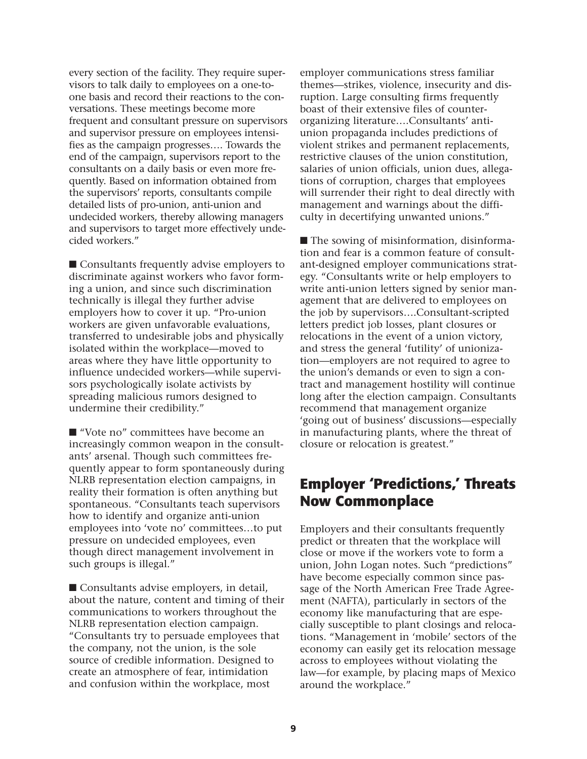**every section of the facility. They require supervisors to talk daily to employees on a one-toone basis and record their reactions to the conversations. These meetings become more frequent and consultant pressure on supervisors and supervisor pressure on employees intensifies as the campaign progresses…. Towards the end of the campaign, supervisors report to the consultants on a daily basis or even more frequently. Based on information obtained from the supervisors' reports, consultants compile detailed lists of pro-union, anti-union and undecided workers, thereby allowing managers and supervisors to target more effectively undecided workers."**

■ **Consultants frequently advise employers to discriminate against workers who favor forming a union, and since such discrimination technically is illegal they further advise employers how to cover it up. "Pro-union workers are given unfavorable evaluations, transferred to undesirable jobs and physically isolated within the workplace—moved to areas where they have little opportunity to influence undecided workers—while supervisors psychologically isolate activists by spreading malicious rumors designed to undermine their credibility."**

■ "Vote no" committees have become an **increasingly common weapon in the consultants' arsenal. Though such committees frequently appear to form spontaneously during NLRB representation election campaigns, in reality their formation is often anything but spontaneous. "Consultants teach supervisors how to identify and organize anti-union employees into 'vote no' committees…to put pressure on undecided employees, even though direct management involvement in such groups is illegal."**

■ **Consultants advise employers**, in detail, **about the nature, content and timing of their communications to workers throughout the NLRB representation election campaign. "Consultants try to persuade employees that the company, not the union, is the sole source of credible information. Designed to create an atmosphere of fear, intimidation and confusion within the workplace, most**

**employer communications stress familiar themes—strikes, violence, insecurity and disruption. Large consulting firms frequently boast of their extensive files of counterorganizing literature….Consultants' antiunion propaganda includes predictions of violent strikes and permanent replacements, restrictive clauses of the union constitution, salaries of union officials, union dues, allegations of corruption, charges that employees will surrender their right to deal directly with management and warnings about the difficulty in decertifying unwanted unions."**

■ **The sowing of misinformation**, disinforma**tion and fear is a common feature of consultant-designed employer communications strategy. "Consultants write or help employers to write anti-union letters signed by senior management that are delivered to employees on the job by supervisors….Consultant-scripted letters predict job losses, plant closures or relocations in the event of a union victory, and stress the general 'futility' of unionization—employers are not required to agree to the union's demands or even to sign a contract and management hostility will continue long after the election campaign. Consultants recommend that management organize 'going out of business' discussions—especially in manufacturing plants, where the threat of closure or relocation is greatest."**

#### **Employer 'Predictions,' Threats Now Commonplace**

**Employers and their consultants frequently predict or threaten that the workplace will close or move if the workers vote to form a union, John Logan notes. Such "predictions" have become especially common since passage of the North American Free Trade Agreement (NAFTA), particularly in sectors of the economy like manufacturing that are especially susceptible to plant closings and relocations. "Management in 'mobile' sectors of the economy can easily get its relocation message across to employees without violating the law—for example, by placing maps of Mexico around the workplace."**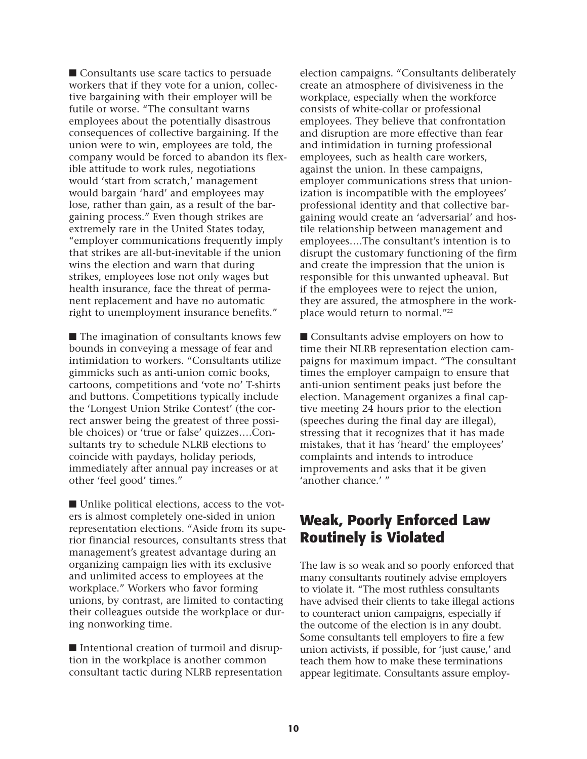■ **Consultants use scare tactics to persuade workers that if they vote for a union, collective bargaining with their employer will be futile or worse. "The consultant warns employees about the potentially disastrous consequences of collective bargaining. If the union were to win, employees are told, the company would be forced to abandon its flexible attitude to work rules, negotiations would 'start from scratch,' management would bargain 'hard' and employees may lose, rather than gain, as a result of the bargaining process." Even though strikes are extremely rare in the United States today, "employer communications frequently imply that strikes are all-but-inevitable if the union wins the election and warn that during strikes, employees lose not only wages but health insurance, face the threat of permanent replacement and have no automatic right to unemployment insurance benefits."** 

■ **The imagination of consultants knows few bounds in conveying a message of fear and intimidation to workers. "Consultants utilize gimmicks such as anti-union comic books, cartoons, competitions and 'vote no' T-shirts and buttons. Competitions typically include the 'Longest Union Strike Contest' (the correct answer being the greatest of three possible choices) or 'true or false' quizzes….Consultants try to schedule NLRB elections to coincide with paydays, holiday periods, immediately after annual pay increases or at other 'feel good' times."**

■ Unlike political elections, access to the vot**ers is almost completely one-sided in union representation elections. "Aside from its superior financial resources, consultants stress that management's greatest advantage during an organizing campaign lies with its exclusive and unlimited access to employees at the workplace." Workers who favor forming unions, by contrast, are limited to contacting their colleagues outside the workplace or during nonworking time.**

■ Intentional creation of turmoil and disrup**tion in the workplace is another common consultant tactic during NLRB representation** **election campaigns. "Consultants deliberately create an atmosphere of divisiveness in the workplace, especially when the workforce consists of white-collar or professional employees. They believe that confrontation and disruption are more effective than fear and intimidation in turning professional employees, such as health care workers, against the union. In these campaigns, employer communications stress that unionization is incompatible with the employees' professional identity and that collective bargaining would create an 'adversarial' and hostile relationship between management and employees….The consultant's intention is to disrupt the customary functioning of the firm and create the impression that the union is responsible for this unwanted upheaval. But if the employees were to reject the union, they are assured, the atmosphere in the workplace would return to normal."22**

■ **Consultants advise employers on how to time their NLRB representation election campaigns for maximum impact. "The consultant times the employer campaign to ensure that anti-union sentiment peaks just before the election. Management organizes a final captive meeting 24 hours prior to the election (speeches during the final day are illegal), stressing that it recognizes that it has made mistakes, that it has 'heard' the employees' complaints and intends to introduce improvements and asks that it be given 'another chance.' "**

#### **Weak, Poorly Enforced Law Routinely is Violated**

**The law is so weak and so poorly enforced that many consultants routinely advise employers to violate it. "The most ruthless consultants have advised their clients to take illegal actions to counteract union campaigns, especially if the outcome of the election is in any doubt. Some consultants tell employers to fire a few union activists, if possible, for 'just cause,' and teach them how to make these terminations appear legitimate. Consultants assure employ-**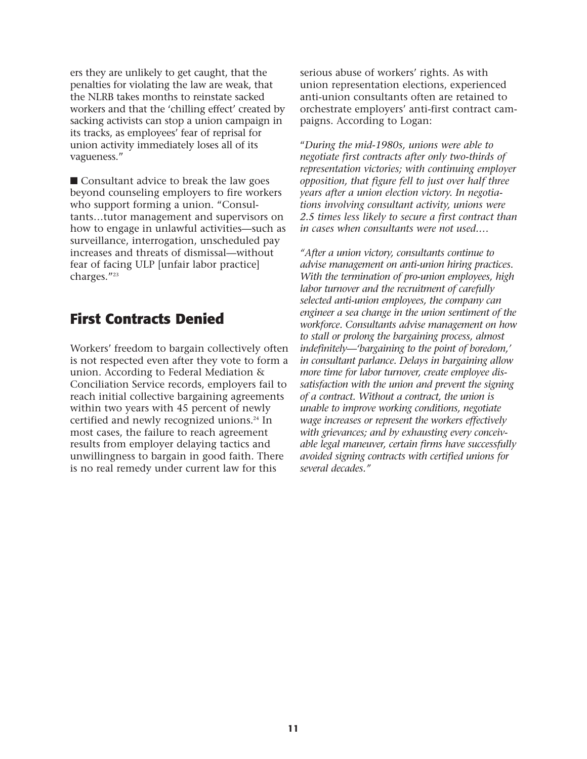**ers they are unlikely to get caught, that the penalties for violating the law are weak, that the NLRB takes months to reinstate sacked workers and that the 'chilling effect' created by sacking activists can stop a union campaign in its tracks, as employees' fear of reprisal for union activity immediately loses all of its vagueness."**

■ **Consultant advice to break the law goes beyond counseling employers to fire workers who support forming a union. "Consultants…tutor management and supervisors on how to engage in unlawful activities—such as surveillance, interrogation, unscheduled pay increases and threats of dismissal—without fear of facing ULP [unfair labor practice] charges."23**

#### **First Contracts Denied**

**Workers' freedom to bargain collectively often is not respected even after they vote to form a union. According to Federal Mediation & Conciliation Service records, employers fail to reach initial collective bargaining agreements within two years with 45 percent of newly certified and newly recognized unions.24 In most cases, the failure to reach agreement results from employer delaying tactics and unwillingness to bargain in good faith. There is no real remedy under current law for this**

**serious abuse of workers' rights. As with union representation elections, experienced anti-union consultants often are retained to orchestrate employers' anti-first contract campaigns. According to Logan:**

**"***During the mid-1980s, unions were able to negotiate first contracts after only two-thirds of representation victories; with continuing employer opposition, that figure fell to just over half three years after a union election victory. In negotiations involving consultant activity, unions were 2.5 times less likely to secure a first contract than in cases when consultants were not used.…*

*"After a union victory, consultants continue to advise management on anti-union hiring practices. With the termination of pro-union employees, high labor turnover and the recruitment of carefully selected anti-union employees, the company can engineer a sea change in the union sentiment of the workforce. Consultants advise management on how to stall or prolong the bargaining process, almost indefinitely—'bargaining to the point of boredom,' in consultant parlance. Delays in bargaining allow more time for labor turnover, create employee dissatisfaction with the union and prevent the signing of a contract. Without a contract, the union is unable to improve working conditions, negotiate wage increases or represent the workers effectively with grievances; and by exhausting every conceivable legal maneuver, certain firms have successfully avoided signing contracts with certified unions for several decades."*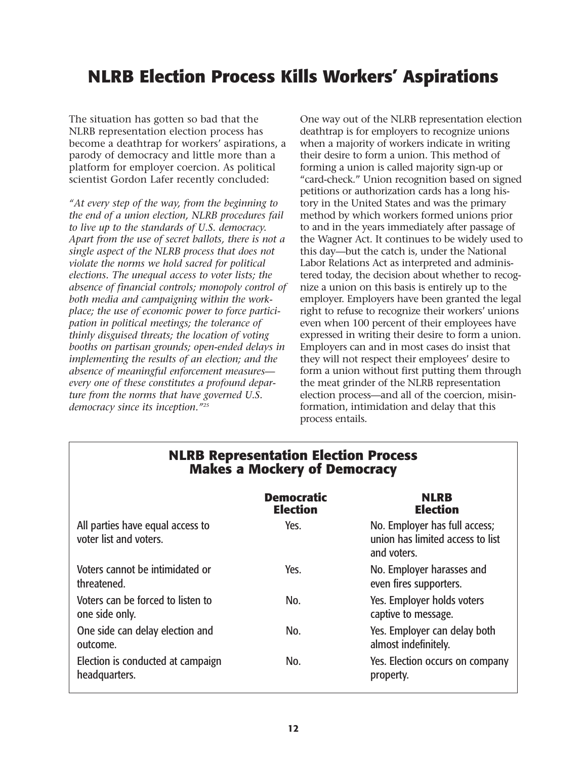# **NLRB Election Process Kills Workers' Aspirations**

**The situation has gotten so bad that the NLRB representation election process has become a deathtrap for workers' aspirations, a parody of democracy and little more than a platform for employer coercion. As political scientist Gordon Lafer recently concluded:**

*"At every step of the way, from the beginning to the end of a union election, NLRB procedures fail to live up to the standards of U.S. democracy. Apart from the use of secret ballots, there is not a single aspect of the NLRB process that does not violate the norms we hold sacred for political elections. The unequal access to voter lists; the absence of financial controls; monopoly control of both media and campaigning within the workplace; the use of economic power to force participation in political meetings; the tolerance of thinly disguised threats; the location of voting booths on partisan grounds; open-ended delays in implementing the results of an election; and the absence of meaningful enforcement measures every one of these constitutes a profound departure from the norms that have governed U.S. democracy since its inception."25*

**One way out of the NLRB representation election deathtrap is for employers to recognize unions when a majority of workers indicate in writing their desire to form a union. This method of forming a union is called majority sign-up or "card-check." Union recognition based on signed petitions or authorization cards has a long history in the United States and was the primary method by which workers formed unions prior to and in the years immediately after passage of the Wagner Act. It continues to be widely used to this day—but the catch is, under the National Labor Relations Act as interpreted and administered today, the decision about whether to recognize a union on this basis is entirely up to the employer. Employers have been granted the legal right to refuse to recognize their workers' unions even when 100 percent of their employees have expressed in writing their desire to form a union. Employers can and in most cases do insist that they will not respect their employees' desire to form a union without first putting them through the meat grinder of the NLRB representation election process—and all of the coercion, misinformation, intimidation and delay that this process entails.**

| <b>IVIAKES A IVIOCKETY OF DEMOCRACY</b>                    |                                      |                                                                                  |  |
|------------------------------------------------------------|--------------------------------------|----------------------------------------------------------------------------------|--|
|                                                            | <b>Democratic</b><br><b>Election</b> | <b>NLRB</b><br><b>Election</b>                                                   |  |
| All parties have equal access to<br>voter list and voters. | Yes.                                 | No. Employer has full access;<br>union has limited access to list<br>and voters. |  |
| Voters cannot be intimidated or<br>threatened.             | Yes.                                 | No. Employer harasses and<br>even fires supporters.                              |  |
| Voters can be forced to listen to<br>one side only.        | No.                                  | Yes. Employer holds voters<br>captive to message.                                |  |
| One side can delay election and<br>outcome.                | No.                                  | Yes. Employer can delay both<br>almost indefinitely.                             |  |
| Election is conducted at campaign<br>headquarters.         | No.                                  | Yes. Election occurs on company<br>property.                                     |  |

### **NLRB Representation Election Process Makes a Mockery of Democracy**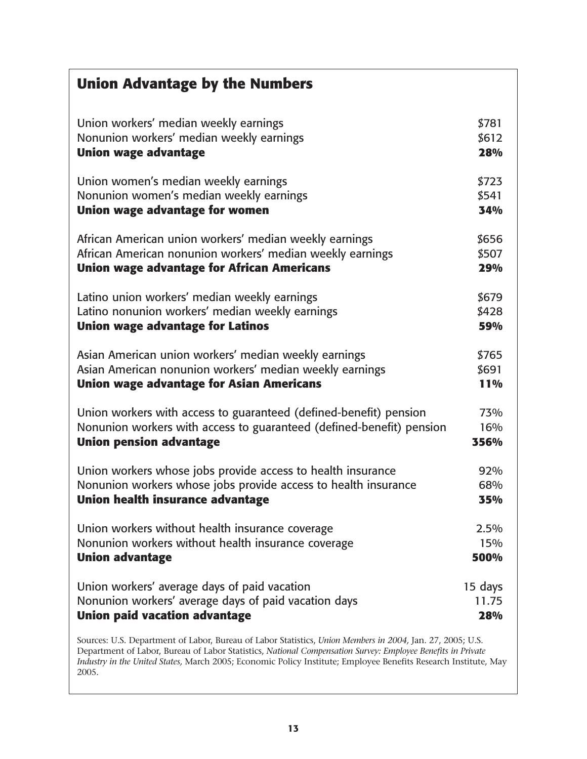| <b>Union Advantage by the Numbers</b>                                |            |
|----------------------------------------------------------------------|------------|
| Union workers' median weekly earnings                                | \$781      |
| Nonunion workers' median weekly earnings                             | \$612      |
| <b>Union wage advantage</b>                                          | 28%        |
| Union women's median weekly earnings                                 | \$723      |
| Nonunion women's median weekly earnings                              | \$541      |
| Union wage advantage for women                                       | 34%        |
| African American union workers' median weekly earnings               | \$656      |
| African American nonunion workers' median weekly earnings            | \$507      |
| <b>Union wage advantage for African Americans</b>                    | 29%        |
| Latino union workers' median weekly earnings                         | \$679      |
| Latino nonunion workers' median weekly earnings                      | \$428      |
| <b>Union wage advantage for Latinos</b>                              | 59%        |
| Asian American union workers' median weekly earnings                 | \$765      |
| Asian American nonunion workers' median weekly earnings              | \$691      |
| <b>Union wage advantage for Asian Americans</b>                      | <b>11%</b> |
| Union workers with access to guaranteed (defined-benefit) pension    | 73%        |
| Nonunion workers with access to guaranteed (defined-benefit) pension | 16%        |
| <b>Union pension advantage</b>                                       | 356%       |
| Union workers whose jobs provide access to health insurance          | 92%        |
| Nonunion workers whose jobs provide access to health insurance       | 68%        |
| Union health insurance advantage                                     | 35%        |
| Union workers without health insurance coverage                      | 2.5%       |
| Nonunion workers without health insurance coverage                   | 15%        |
| <b>Union advantage</b>                                               | 500%       |
| Union workers' average days of paid vacation                         | 15 days    |
| Nonunion workers' average days of paid vacation days                 | 11.75      |
| <b>Union paid vacation advantage</b>                                 | 28%        |

**Sources: U.S. Department of Labor, Bureau of Labor Statistics,** *Union Members in 2004,* **Jan. 27, 2005; U.S. Department of Labor, Bureau of Labor Statistics,** *National Compensation Survey: Employee Benefits in Private Industry in the United States,* **March 2005; Economic Policy Institute; Employee Benefits Research Institute, May 2005.**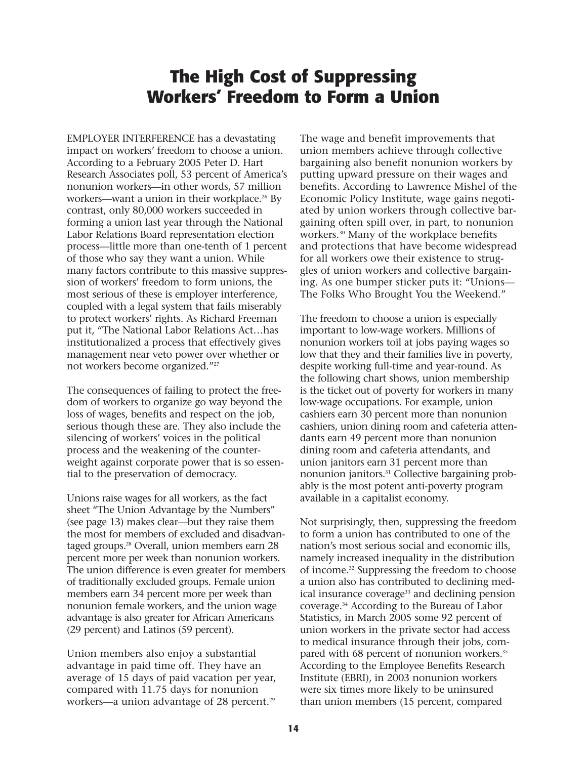## **The High Cost of Suppressing Workers' Freedom to Form a Union**

**EMPLOYER INTERFERENCE has a devastating impact on workers' freedom to choose a union. According to a February 2005 Peter D. Hart Research Associates poll, 53 percent of America's nonunion workers—in other words, 57 million workers—want a union in their workplace.26 By contrast, only 80,000 workers succeeded in forming a union last year through the National Labor Relations Board representation election process—little more than one-tenth of 1 percent of those who say they want a union. While many factors contribute to this massive suppression of workers' freedom to form unions, the most serious of these is employer interference, coupled with a legal system that fails miserably to protect workers' rights. As Richard Freeman put it, "The National Labor Relations Act…has institutionalized a process that effectively gives management near veto power over whether or not workers become organized."27**

**The consequences of failing to protect the freedom of workers to organize go way beyond the loss of wages, benefits and respect on the job, serious though these are. They also include the silencing of workers' voices in the political process and the weakening of the counterweight against corporate power that is so essential to the preservation of democracy.** 

**Unions raise wages for all workers, as the fact sheet "The Union Advantage by the Numbers" (see page 13) makes clear—but they raise them the most for members of excluded and disadvantaged groups.28 Overall, union members earn 28 percent more per week than nonunion workers. The union difference is even greater for members of traditionally excluded groups. Female union members earn 34 percent more per week than nonunion female workers, and the union wage advantage is also greater for African Americans (29 percent) and Latinos (59 percent).** 

**Union members also enjoy a substantial advantage in paid time off. They have an average of 15 days of paid vacation per year, compared with 11.75 days for nonunion workers—a union advantage of 28 percent.29**

**The wage and benefit improvements that union members achieve through collective bargaining also benefit nonunion workers by putting upward pressure on their wages and benefits. According to Lawrence Mishel of the Economic Policy Institute, wage gains negotiated by union workers through collective bargaining often spill over, in part, to nonunion workers.30 Many of the workplace benefits and protections that have become widespread for all workers owe their existence to struggles of union workers and collective bargaining. As one bumper sticker puts it: "Unions— The Folks Who Brought You the Weekend."**

**The freedom to choose a union is especially important to low-wage workers. Millions of nonunion workers toil at jobs paying wages so low that they and their families live in poverty, despite working full-time and year-round. As the following chart shows, union membership is the ticket out of poverty for workers in many low-wage occupations. For example, union cashiers earn 30 percent more than nonunion cashiers, union dining room and cafeteria attendants earn 49 percent more than nonunion dining room and cafeteria attendants, and union janitors earn 31 percent more than nonunion janitors.31 Collective bargaining probably is the most potent anti-poverty program available in a capitalist economy.**

**Not surprisingly, then, suppressing the freedom to form a union has contributed to one of the nation's most serious social and economic ills, namely increased inequality in the distribution of income.32 Suppressing the freedom to choose a union also has contributed to declining medical insurance coverage33 and declining pension coverage.34 According to the Bureau of Labor Statistics, in March 2005 some 92 percent of union workers in the private sector had access to medical insurance through their jobs, compared with 68 percent of nonunion workers.35 According to the Employee Benefits Research Institute (EBRI), in 2003 nonunion workers were six times more likely to be uninsured than union members (15 percent, compared**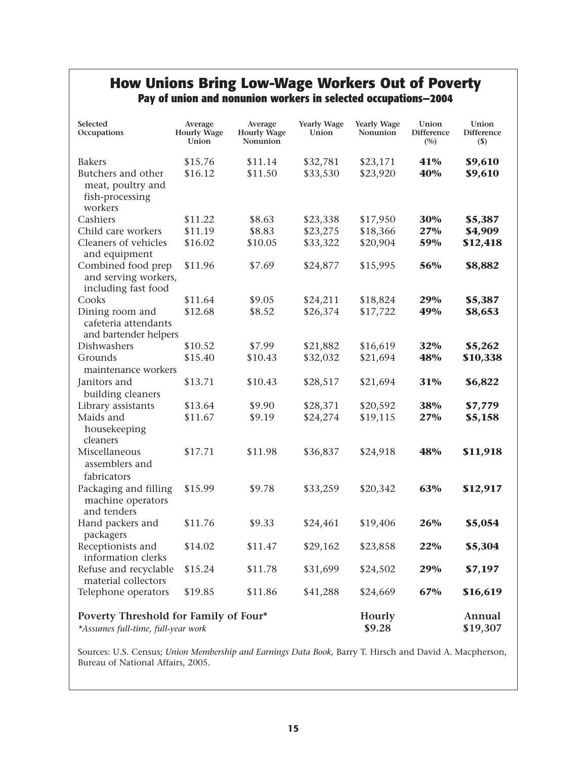#### **How Unions Bring Low-Wage Workers Out of Poverty Pay of union and nonunion workers in selected occupations—2004**

| Selected<br>Occupations                                                     | Average<br><b>Hourly Wage</b><br>Union | Average<br><b>Hourly Wage</b><br>Nonunion | <b>Yearly Wage</b><br>Union | <b>Yearly Wage</b><br>Nonunion | Union<br><b>Difference</b><br>(9) | Union<br><b>Difference</b><br>$(\$)$ |
|-----------------------------------------------------------------------------|----------------------------------------|-------------------------------------------|-----------------------------|--------------------------------|-----------------------------------|--------------------------------------|
| <b>Bakers</b>                                                               | \$15.76                                | \$11.14                                   | \$32,781                    | \$23,171                       | 41%                               | \$9,610                              |
| Butchers and other<br>meat, poultry and<br>fish-processing<br>workers       | \$16.12                                | \$11.50                                   | \$33,530                    | \$23,920                       | 40%                               | \$9,610                              |
| Cashiers                                                                    | \$11.22                                | \$8.63                                    | \$23,338                    | \$17,950                       | 30%                               | \$5,387                              |
| Child care workers                                                          | \$11.19                                | \$8.83                                    | \$23,275                    | \$18,366                       | 27%                               | \$4,909                              |
| Cleaners of vehicles<br>and equipment                                       | \$16.02                                | \$10.05                                   | \$33,322                    | \$20,904                       | 59%                               | \$12,418                             |
| Combined food prep<br>and serving workers,<br>including fast food           | \$11.96                                | \$7.69                                    | \$24,877                    | \$15,995                       | 56%                               | \$8,882                              |
| Cooks                                                                       | \$11.64                                | \$9.05                                    | \$24,211                    | \$18,824                       | 29%                               | \$5,387                              |
| Dining room and                                                             | \$12.68                                | \$8.52                                    | \$26,374                    | \$17,722                       | 49%                               | \$8,653                              |
| cafeteria attendants<br>and bartender helpers                               |                                        |                                           |                             |                                |                                   |                                      |
| Dishwashers                                                                 | \$10.52                                | \$7.99                                    | \$21,882                    | \$16,619                       | 32%                               | \$5,262                              |
| Grounds<br>maintenance workers                                              | \$15.40                                | \$10.43                                   | \$32,032                    | \$21,694                       | 48%                               | \$10,338                             |
| Janitors and                                                                | \$13.71                                | \$10.43                                   | \$28,517                    | \$21,694                       | 31%                               | \$6,822                              |
| building cleaners                                                           |                                        |                                           |                             |                                |                                   |                                      |
| Library assistants                                                          | \$13.64                                | \$9.90                                    | \$28,371                    | \$20,592                       | 38%                               | \$7,779                              |
| Maids and                                                                   | \$11.67                                | \$9.19                                    | \$24,274                    | \$19,115                       | 27%                               | \$5,158                              |
| housekeeping<br>cleaners                                                    |                                        |                                           |                             |                                |                                   |                                      |
| Miscellaneous<br>assemblers and<br>fabricators                              | \$17.71                                | \$11.98                                   | \$36,837                    | \$24,918                       | 48%                               | \$11,918                             |
| Packaging and filling<br>machine operators                                  | \$15.99                                | \$9.78                                    | \$33,259                    | \$20,342                       | 63%                               | \$12,917                             |
| and tenders                                                                 |                                        |                                           |                             |                                |                                   |                                      |
| Hand packers and<br>packagers                                               | \$11.76                                | \$9.33                                    | \$24,461                    | \$19,406                       | 26%                               | \$5,054                              |
| Receptionists and<br>information clerks                                     | \$14.02                                | \$11.47                                   | \$29,162                    | \$23,858                       | 22%                               | \$5,304                              |
| Refuse and recyclable<br>material collectors                                | \$15.24                                | \$11.78                                   | \$31,699                    | \$24,502                       | 29%                               | \$7,197                              |
| Telephone operators                                                         | \$19.85                                | \$11.86                                   | \$41,288                    | \$24,669                       | 67%                               | \$16,619                             |
| Poverty Threshold for Family of Four*<br>*Assumes full-time, full-year work |                                        |                                           |                             | Hourly<br>\$9.28               |                                   | Annual<br>\$19,307                   |

**Sources: U.S. Census;** *Union Membership and Earnings Data Book,* **Barry T. Hirsch and David A. Macpherson, Bureau of National Affairs, 2005.**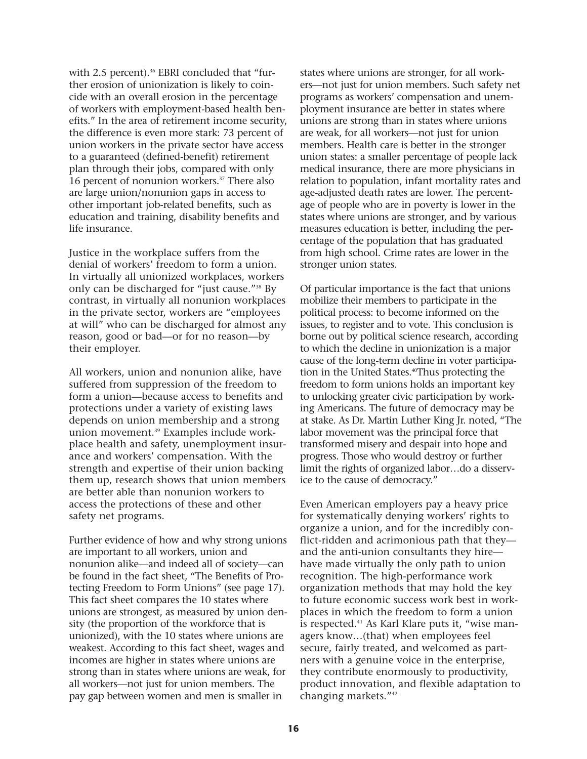with 2.5 percent).<sup>36</sup> EBRI concluded that "fur**ther erosion of unionization is likely to coincide with an overall erosion in the percentage of workers with employment-based health benefits." In the area of retirement income security, the difference is even more stark: 73 percent of union workers in the private sector have access to a guaranteed (defined-benefit) retirement plan through their jobs, compared with only 16 percent of nonunion workers.37 There also are large union/nonunion gaps in access to other important job-related benefits, such as education and training, disability benefits and life insurance.** 

**Justice in the workplace suffers from the denial of workers' freedom to form a union. In virtually all unionized workplaces, workers only can be discharged for "just cause."38 By contrast, in virtually all nonunion workplaces in the private sector, workers are "employees at will" who can be discharged for almost any reason, good or bad—or for no reason—by their employer.** 

**All workers, union and nonunion alike, have suffered from suppression of the freedom to form a union—because access to benefits and protections under a variety of existing laws depends on union membership and a strong union movement.39 Examples include workplace health and safety, unemployment insurance and workers' compensation. With the strength and expertise of their union backing them up, research shows that union members are better able than nonunion workers to access the protections of these and other safety net programs.** 

**Further evidence of how and why strong unions are important to all workers, union and nonunion alike—and indeed all of society—can be found in the fact sheet, "The Benefits of Protecting Freedom to Form Unions" (see page 17). This fact sheet compares the 10 states where unions are strongest, as measured by union density (the proportion of the workforce that is unionized), with the 10 states where unions are weakest. According to this fact sheet, wages and incomes are higher in states where unions are strong than in states where unions are weak, for all workers—not just for union members. The pay gap between women and men is smaller in**

**states where unions are stronger, for all workers—not just for union members. Such safety net programs as workers' compensation and unemployment insurance are better in states where unions are strong than in states where unions are weak, for all workers—not just for union members. Health care is better in the stronger union states: a smaller percentage of people lack medical insurance, there are more physicians in relation to population, infant mortality rates and age-adjusted death rates are lower. The percentage of people who are in poverty is lower in the states where unions are stronger, and by various measures education is better, including the percentage of the population that has graduated from high school. Crime rates are lower in the stronger union states.**

**Of particular importance is the fact that unions mobilize their members to participate in the political process: to become informed on the issues, to register and to vote. This conclusion is borne out by political science research, according to which the decline in unionization is a major cause of the long-term decline in voter participation in the United States.40Thus protecting the freedom to form unions holds an important key to unlocking greater civic participation by working Americans. The future of democracy may be at stake. As Dr. Martin Luther King Jr. noted, "The labor movement was the principal force that transformed misery and despair into hope and progress. Those who would destroy or further limit the rights of organized labor…do a disservice to the cause of democracy."**

**Even American employers pay a heavy price for systematically denying workers' rights to organize a union, and for the incredibly conflict-ridden and acrimonious path that they and the anti-union consultants they hire have made virtually the only path to union recognition. The high-performance work organization methods that may hold the key to future economic success work best in workplaces in which the freedom to form a union is respected.41 As Karl Klare puts it, "wise managers know…(that) when employees feel secure, fairly treated, and welcomed as partners with a genuine voice in the enterprise, they contribute enormously to productivity, product innovation, and flexible adaptation to changing markets."42**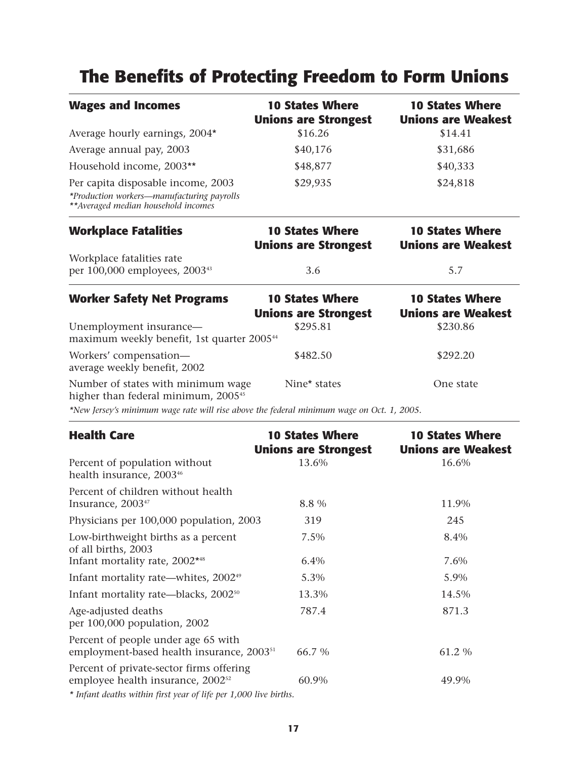# **The Benefits of Protecting Freedom to Form Unions**

| <b>Wages and Incomes</b>                                                                                                 | <b>10 States Where</b><br><b>Unions are Strongest</b> | <b>10 States Where</b><br><b>Unions are Weakest</b> |
|--------------------------------------------------------------------------------------------------------------------------|-------------------------------------------------------|-----------------------------------------------------|
| Average hourly earnings, 2004*                                                                                           | \$16.26                                               | \$14.41                                             |
| Average annual pay, 2003                                                                                                 | \$40,176                                              | \$31,686                                            |
| Household income, 2003**                                                                                                 | \$48,877                                              | \$40,333                                            |
| Per capita disposable income, 2003<br>*Production workers-manufacturing payrolls<br>** Averaged median household incomes | \$29,935                                              | \$24,818                                            |
| <b>Workplace Fatalities</b>                                                                                              | <b>10 States Where</b><br><b>Unions are Strongest</b> | <b>10 States Where</b><br><b>Unions are Weakest</b> |
| Workplace fatalities rate<br>per 100,000 employees, 2003 <sup>43</sup>                                                   | 3.6                                                   | 5.7                                                 |
| <b>Worker Safety Net Programs</b>                                                                                        | <b>10 States Where</b><br><b>Unions are Strongest</b> | <b>10 States Where</b><br><b>Unions are Weakest</b> |
| Unemployment insurance-<br>maximum weekly benefit, 1st quarter 2005 <sup>44</sup>                                        | \$295.81                                              | \$230.86                                            |
| Workers' compensation-<br>average weekly benefit, 2002                                                                   | \$482.50                                              | \$292.20                                            |
| Number of states with minimum wage<br>higher than federal minimum, 2005 <sup>45</sup>                                    | Nine* states                                          | One state                                           |

*\*New Jersey's minimum wage rate will rise above the federal minimum wage on Oct. 1, 2005.* 

| <b>Health Care</b>                                                                                                                                                             | <b>10 States Where</b><br><b>Unions are Strongest</b> | <b>10 States Where</b><br><b>Unions are Weakest</b> |
|--------------------------------------------------------------------------------------------------------------------------------------------------------------------------------|-------------------------------------------------------|-----------------------------------------------------|
| Percent of population without<br>health insurance, 2003 <sup>46</sup>                                                                                                          | 13.6%                                                 | 16.6%                                               |
| Percent of children without health<br>Insurance, 2003 <sup>47</sup>                                                                                                            | 8.8 %                                                 | 11.9%                                               |
| Physicians per 100,000 population, 2003                                                                                                                                        | 319                                                   | 245                                                 |
| Low-birthweight births as a percent<br>of all births, 2003                                                                                                                     | 7.5%                                                  | 8.4%                                                |
| Infant mortality rate, 2002*48                                                                                                                                                 | 6.4%                                                  | 7.6%                                                |
| Infant mortality rate—whites, 2002 <sup>49</sup>                                                                                                                               | 5.3%                                                  | 5.9%                                                |
| Infant mortality rate—blacks, 2002 <sup>50</sup>                                                                                                                               | 13.3%                                                 | 14.5%                                               |
| Age-adjusted deaths<br>per 100,000 population, 2002                                                                                                                            | 787.4                                                 | 871.3                                               |
| Percent of people under age 65 with<br>employment-based health insurance, 2003 <sup>51</sup>                                                                                   | 66.7 %                                                | 61.2 %                                              |
| Percent of private-sector firms offering<br>employee health insurance, 2002 <sup>52</sup><br>$+7.0$ at 1. $(1.01)$ $(1.1)$ $(2.1)$ $(3.1)$ $(5.1)$ $(1.01)$ $(1.000)$ $(1.01)$ | 60.9%                                                 | 49.9%                                               |

*\* Infant deaths within first year of life per 1,000 live births.*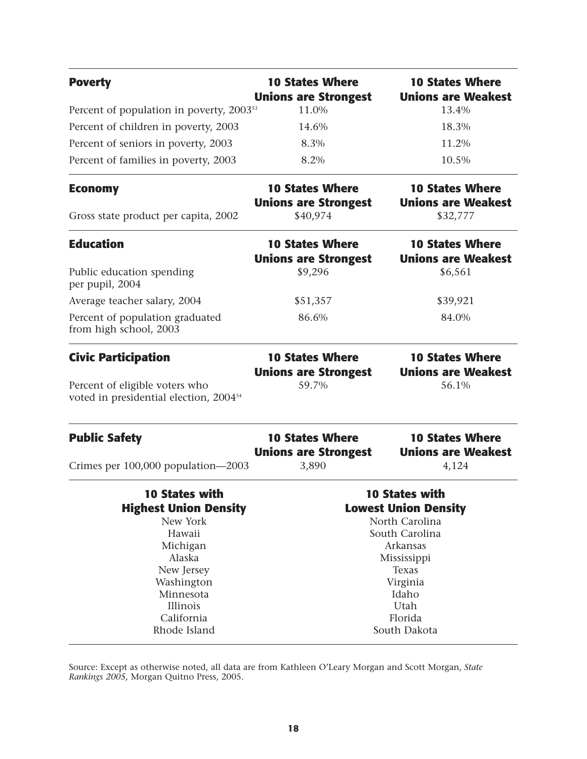| <b>Poverty</b>                                                                       | <b>10 States Where</b><br><b>Unions are Strongest</b> | <b>10 States Where</b><br><b>Unions are Weakest</b> |  |
|--------------------------------------------------------------------------------------|-------------------------------------------------------|-----------------------------------------------------|--|
| Percent of population in poverty, 2003 <sup>53</sup>                                 | 11.0%                                                 | 13.4%                                               |  |
| Percent of children in poverty, 2003                                                 | 14.6%                                                 | 18.3%                                               |  |
| Percent of seniors in poverty, 2003                                                  | 8.3%                                                  | 11.2%                                               |  |
| Percent of families in poverty, 2003                                                 | 8.2%                                                  | 10.5%                                               |  |
| <b>Economy</b>                                                                       | <b>10 States Where</b><br><b>Unions are Strongest</b> | <b>10 States Where</b><br><b>Unions are Weakest</b> |  |
| Gross state product per capita, 2002                                                 | \$40,974                                              | \$32,777                                            |  |
| <b>Education</b>                                                                     | <b>10 States Where</b><br><b>Unions are Strongest</b> | <b>10 States Where</b><br><b>Unions are Weakest</b> |  |
| Public education spending<br>per pupil, 2004                                         | \$9,296                                               | \$6,561                                             |  |
| Average teacher salary, 2004                                                         | \$51,357                                              | \$39,921                                            |  |
| Percent of population graduated<br>from high school, 2003                            | 86.6%                                                 | 84.0%                                               |  |
| <b>Civic Participation</b>                                                           | <b>10 States Where</b><br><b>Unions are Strongest</b> | <b>10 States Where</b><br><b>Unions are Weakest</b> |  |
| Percent of eligible voters who<br>voted in presidential election, 2004 <sup>54</sup> | 59.7%                                                 | 56.1%                                               |  |
| <b>Public Safety</b>                                                                 | <b>10 States Where</b><br><b>Unions are Strongest</b> | <b>10 States Where</b><br><b>Unions are Weakest</b> |  |
| Crimes per 100,000 population-2003                                                   | 3,890                                                 | 4,124                                               |  |
| <b>10 States with</b>                                                                | <b>10 States with</b>                                 |                                                     |  |
| <b>Highest Union Density</b>                                                         | <b>Lowest Union Density</b>                           |                                                     |  |
| New York<br>Hawaii                                                                   | North Carolina                                        |                                                     |  |
| Michigan                                                                             | South Carolina<br>Arkansas                            |                                                     |  |
| Alaska                                                                               | Mississippi                                           |                                                     |  |
| New Jersey                                                                           | Texas                                                 |                                                     |  |
| Washington                                                                           | Virginia                                              |                                                     |  |
| Minnesota                                                                            | Idaho                                                 |                                                     |  |
| Illinois                                                                             | Utah                                                  |                                                     |  |
| California                                                                           | Florida                                               |                                                     |  |
| Rhode Island                                                                         | South Dakota                                          |                                                     |  |

**Source: Except as otherwise noted, all data are from Kathleen O'Leary Morgan and Scott Morgan,** *State Rankings 2005,* **Morgan Quitno Press, 2005.**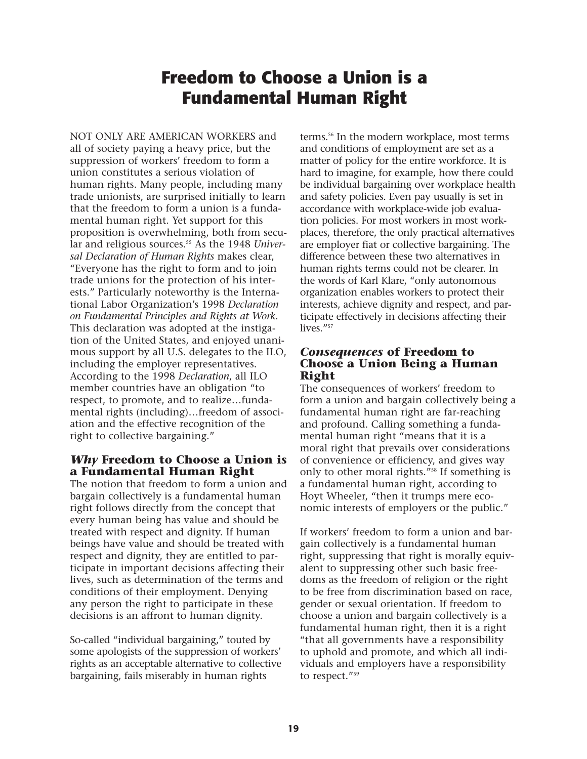# **Freedom to Choose a Union is a Fundamental Human Right**

**NOT ONLY ARE AMERICAN WORKERS and all of society paying a heavy price, but the suppression of workers' freedom to form a union constitutes a serious violation of human rights. Many people, including many trade unionists, are surprised initially to learn that the freedom to form a union is a fundamental human right. Yet support for this proposition is overwhelming, both from secular and religious sources.55 As the 1948** *Universal Declaration of Human Rights* **makes clear, "Everyone has the right to form and to join trade unions for the protection of his interests." Particularly noteworthy is the International Labor Organization's 1998** *Declaration on Fundamental Principles and Rights at Work***. This declaration was adopted at the instigation of the United States, and enjoyed unanimous support by all U.S. delegates to the ILO, including the employer representatives. According to the 1998** *Declaration***, all ILO member countries have an obligation "to respect, to promote, and to realize…fundamental rights (including)…freedom of association and the effective recognition of the right to collective bargaining."**

#### *Why* **Freedom to Choose a Union is a Fundamental Human Right**

**The notion that freedom to form a union and bargain collectively is a fundamental human right follows directly from the concept that every human being has value and should be treated with respect and dignity. If human beings have value and should be treated with respect and dignity, they are entitled to participate in important decisions affecting their lives, such as determination of the terms and conditions of their employment. Denying any person the right to participate in these decisions is an affront to human dignity.**

**So-called "individual bargaining," touted by some apologists of the suppression of workers' rights as an acceptable alternative to collective bargaining, fails miserably in human rights**

**terms.56 In the modern workplace, most terms and conditions of employment are set as a matter of policy for the entire workforce. It is hard to imagine, for example, how there could be individual bargaining over workplace health and safety policies. Even pay usually is set in accordance with workplace-wide job evaluation policies. For most workers in most workplaces, therefore, the only practical alternatives are employer fiat or collective bargaining. The difference between these two alternatives in human rights terms could not be clearer. In the words of Karl Klare, "only autonomous organization enables workers to protect their interests, achieve dignity and respect, and participate effectively in decisions affecting their lives."57**

#### *Consequences* **of Freedom to Choose a Union Being a Human Right**

**The consequences of workers' freedom to form a union and bargain collectively being a fundamental human right are far-reaching and profound. Calling something a fundamental human right "means that it is a moral right that prevails over considerations of convenience or efficiency, and gives way only to other moral rights."58 If something is a fundamental human right, according to Hoyt Wheeler, "then it trumps mere economic interests of employers or the public."** 

**If workers' freedom to form a union and bargain collectively is a fundamental human right, suppressing that right is morally equivalent to suppressing other such basic freedoms as the freedom of religion or the right to be free from discrimination based on race, gender or sexual orientation. If freedom to choose a union and bargain collectively is a fundamental human right, then it is a right "that all governments have a responsibility to uphold and promote, and which all individuals and employers have a responsibility to respect."59**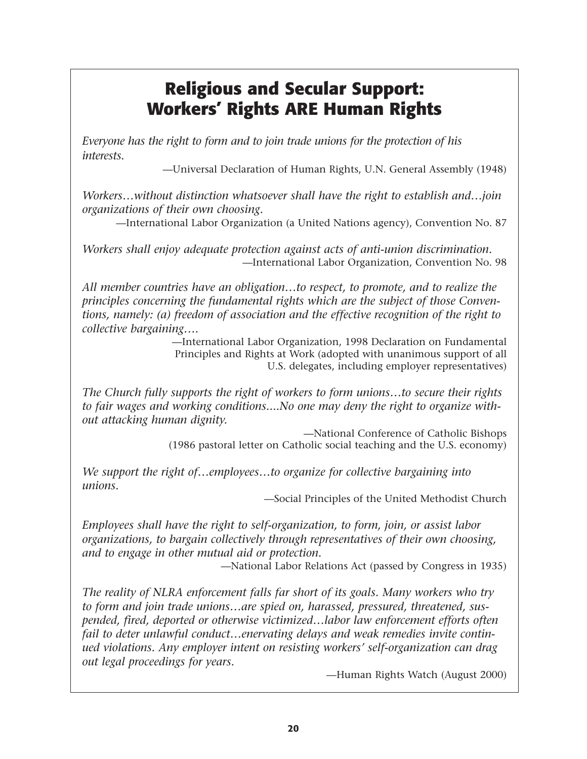# **Religious and Secular Support: Workers' Rights ARE Human Rights**

*Everyone has the right to form and to join trade unions for the protection of his interests.*

**—Universal Declaration of Human Rights, U.N. General Assembly (1948)**

*Workers…without distinction whatsoever shall have the right to establish and…join organizations of their own choosing.*

**—International Labor Organization (a United Nations agency), Convention No. 87**

*Workers shall enjoy adequate protection against acts of anti-union discrimination.* **—International Labor Organization, Convention No. 98**

*All member countries have an obligation…to respect, to promote, and to realize the principles concerning the fundamental rights which are the subject of those Conventions, namely: (a) freedom of association and the effective recognition of the right to collective bargaining….*

**—International Labor Organization, 1998 Declaration on Fundamental Principles and Rights at Work (adopted with unanimous support of all U.S. delegates, including employer representatives)**

*The Church fully supports the right of workers to form unions…to secure their rights to fair wages and working conditions....No one may deny the right to organize without attacking human dignity.*

> **—National Conference of Catholic Bishops (1986 pastoral letter on Catholic social teaching and the U.S. economy)**

*We support the right of…employees…to organize for collective bargaining into unions.*

**—Social Principles of the United Methodist Church**

*Employees shall have the right to self-organization, to form, join, or assist labor organizations, to bargain collectively through representatives of their own choosing, and to engage in other mutual aid or protection.*

**—National Labor Relations Act (passed by Congress in 1935)**

*The reality of NLRA enforcement falls far short of its goals. Many workers who try to form and join trade unions…are spied on, harassed, pressured, threatened, suspended, fired, deported or otherwise victimized…labor law enforcement efforts often fail to deter unlawful conduct…enervating delays and weak remedies invite continued violations. Any employer intent on resisting workers' self-organization can drag out legal proceedings for years.*

**—Human Rights Watch (August 2000)**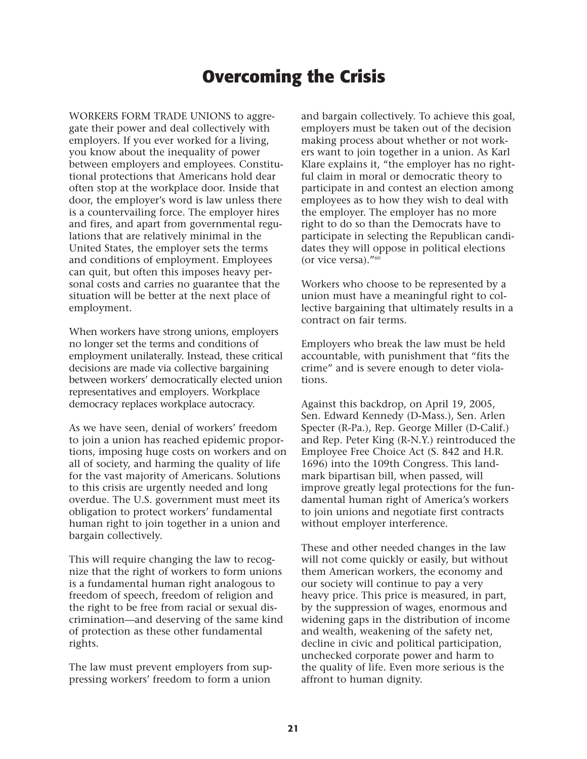# **Overcoming the Crisis**

**WORKERS FORM TRADE UNIONS to aggregate their power and deal collectively with employers. If you ever worked for a living, you know about the inequality of power between employers and employees. Constitutional protections that Americans hold dear often stop at the workplace door. Inside that door, the employer's word is law unless there is a countervailing force. The employer hires and fires, and apart from governmental regulations that are relatively minimal in the United States, the employer sets the terms and conditions of employment. Employees can quit, but often this imposes heavy personal costs and carries no guarantee that the situation will be better at the next place of employment.**

**When workers have strong unions, employers no longer set the terms and conditions of employment unilaterally. Instead, these critical decisions are made via collective bargaining between workers' democratically elected union representatives and employers. Workplace democracy replaces workplace autocracy.**

**As we have seen, denial of workers' freedom to join a union has reached epidemic proportions, imposing huge costs on workers and on all of society, and harming the quality of life for the vast majority of Americans. Solutions to this crisis are urgently needed and long overdue. The U.S. government must meet its obligation to protect workers' fundamental human right to join together in a union and bargain collectively.** 

**This will require changing the law to recognize that the right of workers to form unions is a fundamental human right analogous to freedom of speech, freedom of religion and the right to be free from racial or sexual discrimination—and deserving of the same kind of protection as these other fundamental rights.**

**The law must prevent employers from suppressing workers' freedom to form a union** **and bargain collectively. To achieve this goal, employers must be taken out of the decision making process about whether or not workers want to join together in a union. As Karl Klare explains it, "the employer has no rightful claim in moral or democratic theory to participate in and contest an election among employees as to how they wish to deal with the employer. The employer has no more right to do so than the Democrats have to participate in selecting the Republican candidates they will oppose in political elections (or vice versa)."60**

**Workers who choose to be represented by a union must have a meaningful right to collective bargaining that ultimately results in a contract on fair terms.**

**Employers who break the law must be held accountable, with punishment that "fits the crime" and is severe enough to deter violations.** 

**Against this backdrop, on April 19, 2005, Sen. Edward Kennedy (D-Mass.), Sen. Arlen Specter (R-Pa.), Rep. George Miller (D-Calif.) and Rep. Peter King (R-N.Y.) reintroduced the Employee Free Choice Act (S. 842 and H.R. 1696) into the 109th Congress. This landmark bipartisan bill, when passed, will improve greatly legal protections for the fundamental human right of America's workers to join unions and negotiate first contracts without employer interference.**

**These and other needed changes in the law will not come quickly or easily, but without them American workers, the economy and our society will continue to pay a very heavy price. This price is measured, in part, by the suppression of wages, enormous and widening gaps in the distribution of income and wealth, weakening of the safety net, decline in civic and political participation, unchecked corporate power and harm to the quality of life. Even more serious is the affront to human dignity.**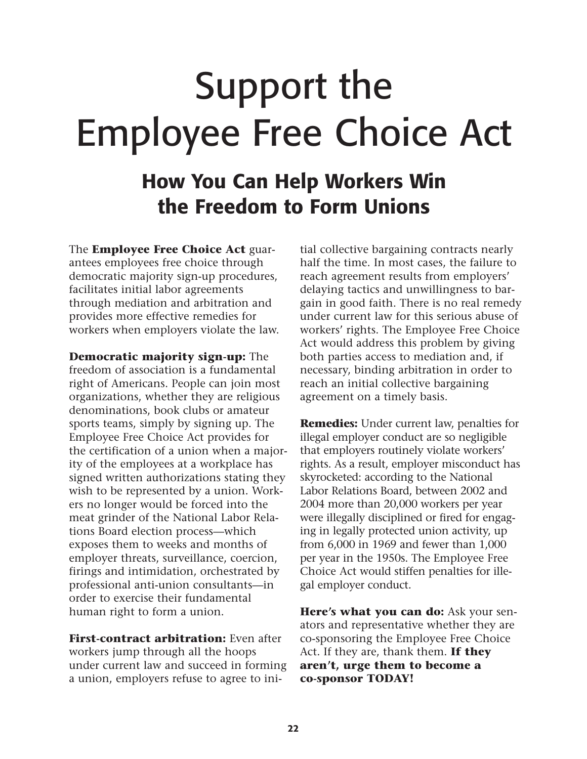# Support the Employee Free Choice Act

# **How You Can Help Workers Win the Freedom to Form Unions**

**The Employee Free Choice Act guarantees employees free choice through democratic majority sign-up procedures, facilitates initial labor agreements through mediation and arbitration and provides more effective remedies for workers when employers violate the law.**

**Democratic majority sign-up: The freedom of association is a fundamental right of Americans. People can join most organizations, whether they are religious denominations, book clubs or amateur sports teams, simply by signing up. The Employee Free Choice Act provides for the certification of a union when a majority of the employees at a workplace has signed written authorizations stating they wish to be represented by a union. Workers no longer would be forced into the meat grinder of the National Labor Relations Board election process—which exposes them to weeks and months of employer threats, surveillance, coercion, firings and intimidation, orchestrated by professional anti-union consultants—in order to exercise their fundamental human right to form a union.**

**First-contract arbitration: Even after workers jump through all the hoops under current law and succeed in forming a union, employers refuse to agree to ini-** **tial collective bargaining contracts nearly half the time. In most cases, the failure to reach agreement results from employers' delaying tactics and unwillingness to bargain in good faith. There is no real remedy under current law for this serious abuse of workers' rights. The Employee Free Choice Act would address this problem by giving both parties access to mediation and, if necessary, binding arbitration in order to reach an initial collective bargaining agreement on a timely basis.** 

**Remedies: Under current law, penalties for illegal employer conduct are so negligible that employers routinely violate workers' rights. As a result, employer misconduct has skyrocketed: according to the National Labor Relations Board, between 2002 and 2004 more than 20,000 workers per year were illegally disciplined or fired for engaging in legally protected union activity, up from 6,000 in 1969 and fewer than 1,000 per year in the 1950s. The Employee Free Choice Act would stiffen penalties for illegal employer conduct.**

**Here's what you can do: Ask your senators and representative whether they are co-sponsoring the Employee Free Choice Act. If they are, thank them. If they aren't, urge them to become a co-sponsor TODAY!**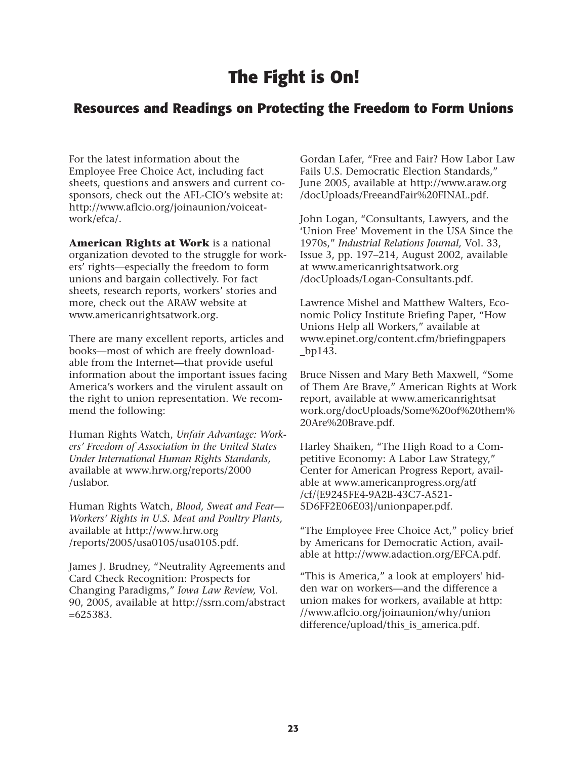# **The Fight is On!**

#### **Resources and Readings on Protecting the Freedom to Form Unions**

**For the latest information about the Employee Free Choice Act, including fact sheets, questions and answers and current cosponsors, check out the AFL-CIO's website at: http://www.aflcio.org/joinaunion/voiceatwork/efca/.** 

**American Rights at Work is a national organization devoted to the struggle for workers' rights—especially the freedom to form unions and bargain collectively. For fact sheets, research reports, workers' stories and more, check out the ARAW website at www.americanrightsatwork.org.**

**There are many excellent reports, articles and books—most of which are freely downloadable from the Internet—that provide useful information about the important issues facing America's workers and the virulent assault on the right to union representation. We recommend the following:**

**Human Rights Watch,** *Unfair Advantage: Workers' Freedom of Association in the United States Under International Human Rights Standards,* **available at www.hrw.org/reports/2000 /uslabor.**

**Human Rights Watch,** *Blood, Sweat and Fear— Workers' Rights in U.S. Meat and Poultry Plants,* **available at http://www.hrw.org /reports/2005/usa0105/usa0105.pdf.**

**James J. Brudney, "Neutrality Agreements and Card Check Recognition: Prospects for Changing Paradigms,"** *Iowa Law Review,* **Vol. 90, 2005, available at http://ssrn.com/abstract =625383.**

**Gordan Lafer, "Free and Fair? How Labor Law Fails U.S. Democratic Election Standards," June 2005, available at http://www.araw.org /docUploads/FreeandFair%20FINAL.pdf.**

**John Logan, "Consultants, Lawyers, and the 'Union Free' Movement in the USA Since the 1970s,"** *Industrial Relations Journal,* **Vol. 33, Issue 3, pp. 197–214, August 2002, available at www.americanrightsatwork.org /docUploads/Logan-Consultants.pdf.**

**Lawrence Mishel and Matthew Walters, Economic Policy Institute Briefing Paper, "How Unions Help all Workers," available at www.epinet.org/content.cfm/briefingpapers \_bp143.**

**Bruce Nissen and Mary Beth Maxwell, "Some of Them Are Brave," American Rights at Work report, available at www.americanrightsat work.org/docUploads/Some%20of%20them% 20Are%20Brave.pdf.**

**Harley Shaiken, "The High Road to a Competitive Economy: A Labor Law Strategy," Center for American Progress Report, available at www.americanprogress.org/atf /cf/{E9245FE4-9A2B-43C7-A521- 5D6FF2E06E03}/unionpaper.pdf.**

**"The Employee Free Choice Act," policy brief by Americans for Democratic Action, available at http://www.adaction.org/EFCA.pdf.**

**"This is America," a look at employers' hidden war on workers—and the difference a union makes for workers, available at http: //www.aflcio.org/joinaunion/why/union difference/upload/this\_is\_america.pdf.**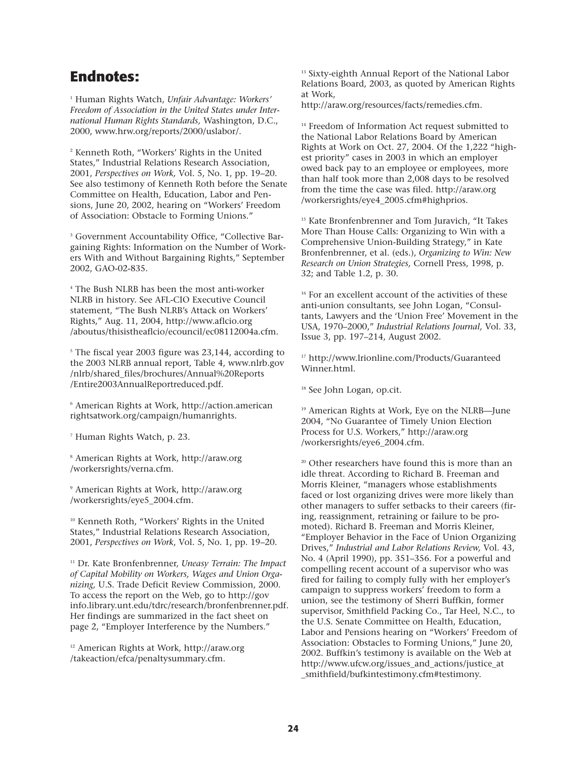#### **Endnotes:**

**<sup>1</sup> Human Rights Watch,** *Unfair Advantage: Workers' Freedom of Association in the United States under International Human Rights Standards,* **Washington, D.C., 2000, www.hrw.org/reports/2000/uslabor/.**

**<sup>2</sup> Kenneth Roth, "Workers' Rights in the United States," Industrial Relations Research Association, 2001,** *Perspectives on Work,* **Vol. 5, No. 1, pp. 19–20. See also testimony of Kenneth Roth before the Senate Committee on Health, Education, Labor and Pensions, June 20, 2002, hearing on "Workers' Freedom of Association: Obstacle to Forming Unions."**

**<sup>3</sup> Government Accountability Office, "Collective Bargaining Rights: Information on the Number of Workers With and Without Bargaining Rights," September 2002, GAO-02-835.**

**<sup>4</sup> The Bush NLRB has been the most anti-worker NLRB in history. See AFL-CIO Executive Council statement, "The Bush NLRB's Attack on Workers' Rights," Aug. 11, 2004, http://www.aflcio.org /aboutus/thisistheaflcio/ecouncil/ec08112004a.cfm.** 

**<sup>5</sup> The fiscal year 2003 figure was 23,144, according to the 2003 NLRB annual report, Table 4, www.nlrb.gov /nlrb/shared\_files/brochures/Annual%20Reports /Entire2003AnnualReportreduced.pdf.**

**<sup>6</sup> American Rights at Work, http://action.american rightsatwork.org/campaign/humanrights.**

**<sup>7</sup> Human Rights Watch, p. 23.**

**<sup>8</sup> American Rights at Work, http://araw.org /workersrights/verna.cfm.**

**<sup>9</sup> American Rights at Work, http://araw.org /workersrights/eye5\_2004.cfm.**

**<sup>10</sup> Kenneth Roth, "Workers' Rights in the United States," Industrial Relations Research Association, 2001,** *Perspectives on Work***, Vol. 5, No. 1, pp. 19–20.** 

**<sup>11</sup> Dr. Kate Bronfenbrenner,** *Uneasy Terrain: The Impact of Capital Mobility on Workers, Wages and Union Organizing,* **U.S. Trade Deficit Review Commission, 2000. To access the report on the Web, go to http://gov info.library.unt.edu/tdrc/research/bronfenbrenner.pdf. Her findings are summarized in the fact sheet on page 2, "Employer Interference by the Numbers."**

**<sup>12</sup> American Rights at Work, http://araw.org /takeaction/efca/penaltysummary.cfm.**

**<sup>13</sup> Sixty-eighth Annual Report of the National Labor Relations Board, 2003, as quoted by American Rights at Work,**

**http://araw.org/resources/facts/remedies.cfm.**

**<sup>14</sup> Freedom of Information Act request submitted to the National Labor Relations Board by American Rights at Work on Oct. 27, 2004. Of the 1,222 "highest priority" cases in 2003 in which an employer owed back pay to an employee or employees, more than half took more than 2,008 days to be resolved from the time the case was filed. http://araw.org /workersrights/eye4\_2005.cfm#highprios.**

**<sup>15</sup> Kate Bronfenbrenner and Tom Juravich, "It Takes More Than House Calls: Organizing to Win with a Comprehensive Union-Building Strategy," in Kate Bronfenbrenner, et al. (eds.),** *Organizing to Win: New Research on Union Strategies,* **Cornell Press, 1998, p. 32; and Table 1.2, p. 30.**

**<sup>16</sup> For an excellent account of the activities of these anti-union consultants, see John Logan, "Consultants, Lawyers and the 'Union Free' Movement in the USA, 1970–2000,"** *Industrial Relations Journal,* **Vol. 33, Issue 3, pp. 197–214, August 2002.**

**<sup>17</sup> http://www.lrionline.com/Products/Guaranteed Winner.html.**

**<sup>18</sup> See John Logan, op.cit.**

**<sup>19</sup> American Rights at Work, Eye on the NLRB—June 2004, "No Guarantee of Timely Union Election Process for U.S. Workers," http://araw.org /workersrights/eye6\_2004.cfm.** 

**<sup>20</sup> Other researchers have found this is more than an idle threat. According to Richard B. Freeman and Morris Kleiner, "managers whose establishments faced or lost organizing drives were more likely than other managers to suffer setbacks to their careers (firing, reassignment, retraining or failure to be promoted). Richard B. Freeman and Morris Kleiner, "Employer Behavior in the Face of Union Organizing Drives,"** *Industrial and Labor Relations Review,* **Vol. 43, No. 4 (April 1990), pp. 351–356. For a powerful and compelling recent account of a supervisor who was fired for failing to comply fully with her employer's campaign to suppress workers' freedom to form a union, see the testimony of Sherri Buffkin, former supervisor, Smithfield Packing Co., Tar Heel, N.C., to the U.S. Senate Committee on Health, Education, Labor and Pensions hearing on "Workers' Freedom of Association: Obstacles to Forming Unions," June 20, 2002. Buffkin's testimony is available on the Web at http://www.ufcw.org/issues\_and\_actions/justice\_at \_smithfield/bufkintestimony.cfm#testimony.**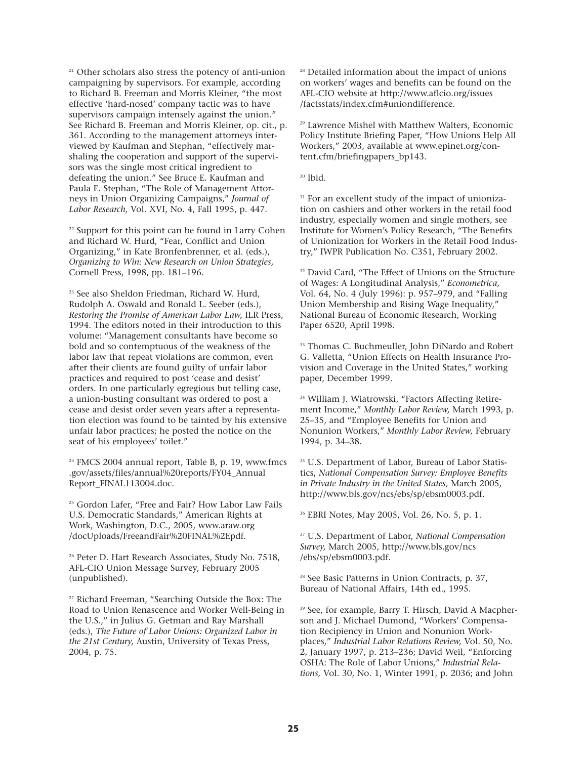**<sup>21</sup> Other scholars also stress the potency of anti-union campaigning by supervisors. For example, according to Richard B. Freeman and Morris Kleiner, "the most effective 'hard-nosed' company tactic was to have supervisors campaign intensely against the union." See Richard B. Freeman and Morris Kleiner, op. cit., p. 361. According to the management attorneys interviewed by Kaufman and Stephan, "effectively marshaling the cooperation and support of the supervisors was the single most critical ingredient to defeating the union." See Bruce E. Kaufman and Paula E. Stephan, "The Role of Management Attorneys in Union Organizing Campaigns,"** *Journal of Labor Research,* **Vol. XVI, No. 4, Fall 1995, p. 447.**

**<sup>22</sup> Support for this point can be found in Larry Cohen and Richard W. Hurd, "Fear, Conflict and Union Organizing," in Kate Bronfenbrenner, et al. (eds.),** *Organizing to Win: New Research on Union Strategies,* **Cornell Press, 1998, pp. 181–196.** 

**<sup>23</sup> See also Sheldon Friedman, Richard W. Hurd, Rudolph A. Oswald and Ronald L. Seeber (eds.),** *Restoring the Promise of American Labor Law,* **ILR Press, 1994. The editors noted in their introduction to this volume: "Management consultants have become so bold and so contemptuous of the weakness of the labor law that repeat violations are common, even after their clients are found guilty of unfair labor practices and required to post 'cease and desist' orders. In one particularly egregious but telling case, a union-busting consultant was ordered to post a cease and desist order seven years after a representation election was found to be tainted by his extensive unfair labor practices; he posted the notice on the seat of his employees' toilet."**

**<sup>24</sup> FMCS 2004 annual report, Table B, p. 19, www.fmcs .gov/assets/files/annual%20reports/FY04\_Annual Report\_FINAL113004.doc.**

**<sup>25</sup> Gordon Lafer, "Free and Fair? How Labor Law Fails U.S. Democratic Standards," American Rights at Work, Washington, D.C., 2005, www.araw.org /docUploads/FreeandFair%20FINAL%2Epdf.**

**<sup>26</sup> Peter D. Hart Research Associates, Study No. 7518, AFL-CIO Union Message Survey, February 2005 (unpublished).**

**<sup>27</sup> Richard Freeman, "Searching Outside the Box: The Road to Union Renascence and Worker Well-Being in the U.S.," in Julius G. Getman and Ray Marshall (eds.),** *The Future of Labor Unions: Organized Labor in the 21st Century,* **Austin, University of Texas Press, 2004, p. 75.**

**<sup>28</sup> Detailed information about the impact of unions on workers' wages and benefits can be found on the AFL-CIO website at http://www.aflcio.org/issues /factsstats/index.cfm#uniondifference.**

**<sup>29</sup> Lawrence Mishel with Matthew Walters, Economic Policy Institute Briefing Paper, "How Unions Help All Workers," 2003, available at www.epinet.org/content.cfm/briefingpapers\_bp143.**

**<sup>30</sup> Ibid.**

**<sup>31</sup> For an excellent study of the impact of unionization on cashiers and other workers in the retail food industry, especially women and single mothers, see Institute for Women's Policy Research, "The Benefits of Unionization for Workers in the Retail Food Industry," IWPR Publication No. C351, February 2002.**

**<sup>32</sup> David Card, "The Effect of Unions on the Structure of Wages: A Longitudinal Analysis,"** *Econometrica,* **Vol. 64, No. 4 (July 1996): p. 957–979, and "Falling Union Membership and Rising Wage Inequality," National Bureau of Economic Research, Working Paper 6520, April 1998.**

**<sup>33</sup> Thomas C. Buchmeuller, John DiNardo and Robert G. Valletta, "Union Effects on Health Insurance Provision and Coverage in the United States," working paper, December 1999.**

**<sup>34</sup> William J. Wiatrowski, "Factors Affecting Retirement Income,"** *Monthly Labor Review,* **March 1993, p. 25–35, and "Employee Benefits for Union and Nonunion Workers,"** *Monthly Labor Review,* **February 1994, p. 34–38.** 

**<sup>35</sup> U.S. Department of Labor, Bureau of Labor Statistics,** *National Compensation Survey: Employee Benefits in Private Industry in the United States,* **March 2005, http://www.bls.gov/ncs/ebs/sp/ebsm0003.pdf.**

**<sup>36</sup> EBRI Notes, May 2005, Vol. 26, No. 5, p. 1.**

**<sup>37</sup> U.S. Department of Labor,** *National Compensation Survey,* **March 2005, http://www.bls.gov/ncs /ebs/sp/ebsm0003.pdf.**

**<sup>38</sup> See Basic Patterns in Union Contracts, p. 37, Bureau of National Affairs, 14th ed., 1995.**

**<sup>39</sup> See, for example, Barry T. Hirsch, David A Macpherson and J. Michael Dumond, "Workers' Compensation Recipiency in Union and Nonunion Workplaces,"** *Industrial Labor Relations Review,* **Vol. 50, No. 2, January 1997, p. 213–236; David Weil, "Enforcing OSHA: The Role of Labor Unions,"** *Industrial Relations,* **Vol. 30, No. 1, Winter 1991, p. 2036; and John**